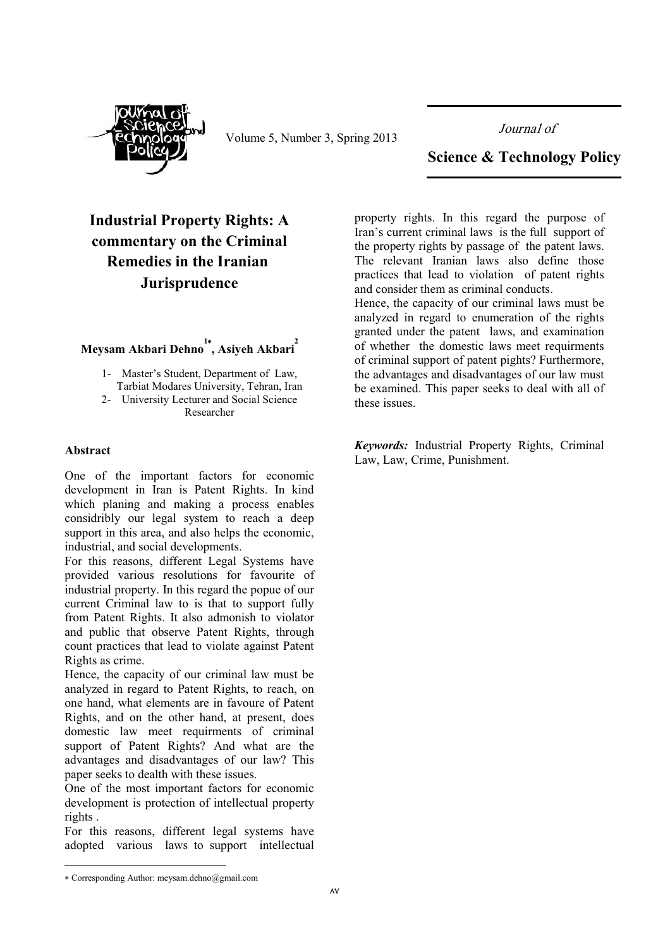

Volume 5, Number 3, Spring 2013

Journal of

## **Science & Technology Policy**

# **Industrial Property Rights: A** commentary on the Criminal **Remedies in the Iranian** Jurisprudence

# Meysam Akbari Dehno<sup>1</sup>, Asiyeh Akbari<sup>2</sup>

- 1- Master's Student, Department of Law. Tarbiat Modares University, Tehran, Iran
- 2- University Lecturer and Social Science Researcher

#### **Abstract**

One of the important factors for economic development in Iran is Patent Rights. In kind which planing and making a process enables considribly our legal system to reach a deep support in this area, and also helps the economic, industrial, and social developments.

For this reasons, different Legal Systems have provided various resolutions for favourite of industrial property. In this regard the popue of our current Criminal law to is that to support fully from Patent Rights. It also admonish to violator and public that observe Patent Rights, through count practices that lead to violate against Patent Rights as crime.

Hence, the capacity of our criminal law must be analyzed in regard to Patent Rights, to reach, on one hand, what elements are in favoure of Patent Rights, and on the other hand, at present, does domestic law meet requirments of criminal support of Patent Rights? And what are the advantages and disadvantages of our law? This paper seeks to dealth with these issues.

One of the most important factors for economic development is protection of intellectual property rights.

For this reasons, different legal systems have adopted various laws to support intellectual

property rights. In this regard the purpose of Iran's current criminal laws is the full support of the property rights by passage of the patent laws. The relevant Iranian laws also define those practices that lead to violation of patent rights and consider them as criminal conducts.

Hence, the capacity of our criminal laws must be analyzed in regard to enumeration of the rights granted under the patent laws, and examination of whether the domestic laws meet requirments of criminal support of patent pights? Furthermore, the advantages and disadvantages of our law must be examined. This paper seeks to deal with all of these issues.

Keywords: Industrial Property Rights, Criminal Law, Law, Crime, Punishment.

<sup>\*</sup> Corresponding Author: meysam.dehno@gmail.com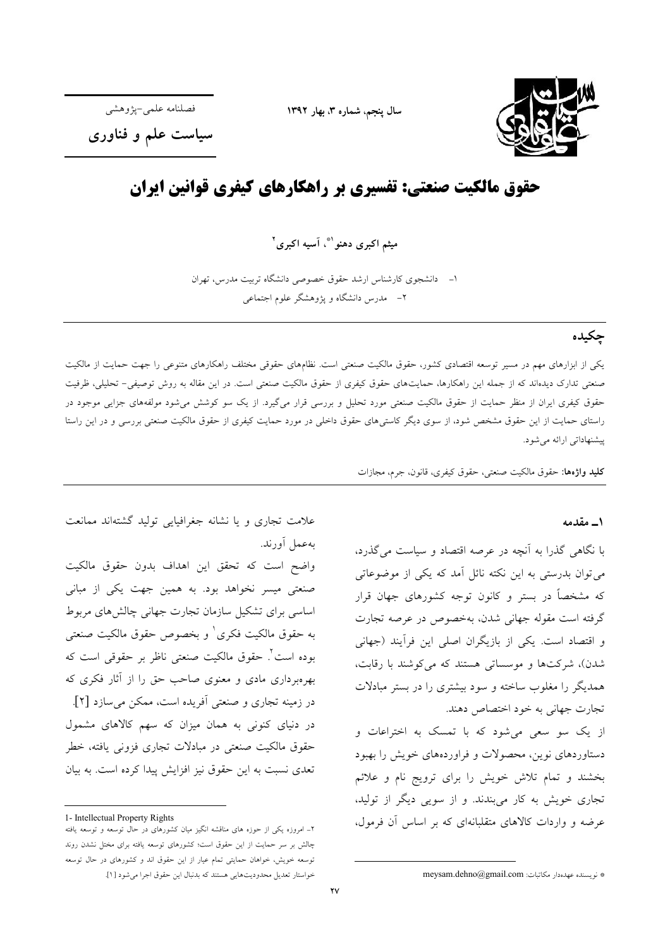

سال ينجم، شماره ٣، بهار ١٣٩٢

فصلنامه علمي-يژوهشي

سیاست علم و فناوری

# حقوق مالکیت صنعتی: تفسیری بر راهکارهای کیفری قوانین ایران

میثم اکبری دهنو ۱\* آسیه اکبری ۲

۱– دانشجوی کارشناس ارشد حقوق خصوصی دانشگاه تربیت مدرس، تهران ۲– مدرس دانشگاه و پژوهشگر علوم اجتماعی

## چکیده

یکی از ابزارهای مهم در مسیر توسعه اقتصادی کشور، حقوق مالکیت صنعتی است. نظامهای حقوقی مختلف راهکارهای متنوعی را جهت حمایت از مالکیت صنعتی تدارک دیدهاند که از جمله این راهکارها، حمایتهای حقوق کیفری از حقوق مالکیت صنعتی است. در این مقاله به روش توصیفی- تحلیلی، ظرفیت حقوق کیفری ایران از منظر حمایت از حقوق مالکیت صنعتی مورد تحلیل و بررسی قرار میگیرد. از یک سو کوشش میشود مولفههای جزایی موجود در راستای حمایت از این حقوق مشخص شود، از سوی دیگر کاستی های حقوق داخلی در مورد حمایت کیفری از حقوق مالکیت صنعتی بررسی و در این راستا پیشنهاداتی ارائه می شود.

كليد واژهها: حقوق مالكيت صنعتى، حقوق كيفرى، قانون، جرم، مجازات

#### ۱\_ مقدمه

با نگاهی گذرا به آنچه در عرصه اقتصاد و سیاست می گذرد، می توان بدرستی به این نکته نائل آمد که یکی از موضوعاتی که مشخصاً در بستر و کانون توجه کشورهای جهان قرار گرفته است مقوله جهانی شدن، بهخصوص در عرصه تجارت و اقتصاد است. یکی از بازیگران اصلی این فرآیند (جهانی شدن)، شرکتها و موسساتی هستند که می کوشند با رقابت، همدیگر را مغلوب ساخته و سود بیشتری را در بستر مبادلات تجارت جهاني به خود اختصاص دهند.

از یک سو سعی میشود که با تمسک به اختراعات و دستاوردهای نوین، محصولات و فراوردههای خویش را بهبود بخشند و تمام تلاش خویش را برای ترویج نام و علائم تجاری خویش به کار میبندند. و از سویی دیگر از تولید، عرضه و واردات کالاهای متقلبانهای که بر اساس آن فرمول،

علامت تجاری و یا نشانه جغرافیایی تولید گشتهاند ممانعت بەعمل أورند.

واضح است كه تحقق اين اهداف بدون حقوق مالكيت صنعتی میسر نخواهد بود. به همین جهت یکی از مبانی اساسی برای تشکیل سازمان تجارت جهانی چالش های مربوط به حقوق مالكيت فكرى ٰ و بخصوص حقوق مالكيت صنعتى بوده است<sup>٢</sup>. حقوق مالكيت صنعتى ناظر بر حقوقى است كه بهرهبرداری مادی و معنوی صاحب حق را از آثار فکری که در زمینه تجاری و صنعتی آفریده است، ممکن می سازد [۲]. در دنیای کنونی به همان میزان که سهم کالاهای مشمول حقوق مالکیت صنعتی در مبادلات تجاری فزونی یافته، خطر تعدی نسبت به این حقوق نیز افزایش پیدا کرده است. به بیان

<sup>1-</sup> Intellectual Property Rights

۲ـ امروزه یکی از حوزه های مناقشه انگیز میان کشورهای در حال توسعه و توسعه یافته چالش بر سر حمایت از این حقوق است؛ کشورهای توسعه یافته برای مختل نشدن روند توسعه خویش، خواهان حمایتی تمام عیار از این حقوق اند و کشورهای در حال توسعه خواستار تعديل محدوديتهايي هستند كه بدنبال اين حقوق اجرا مي شود [١].

<sup>\*</sup> نويسنده عهدهدار مكاتبات: meysam.dehno@gmail.com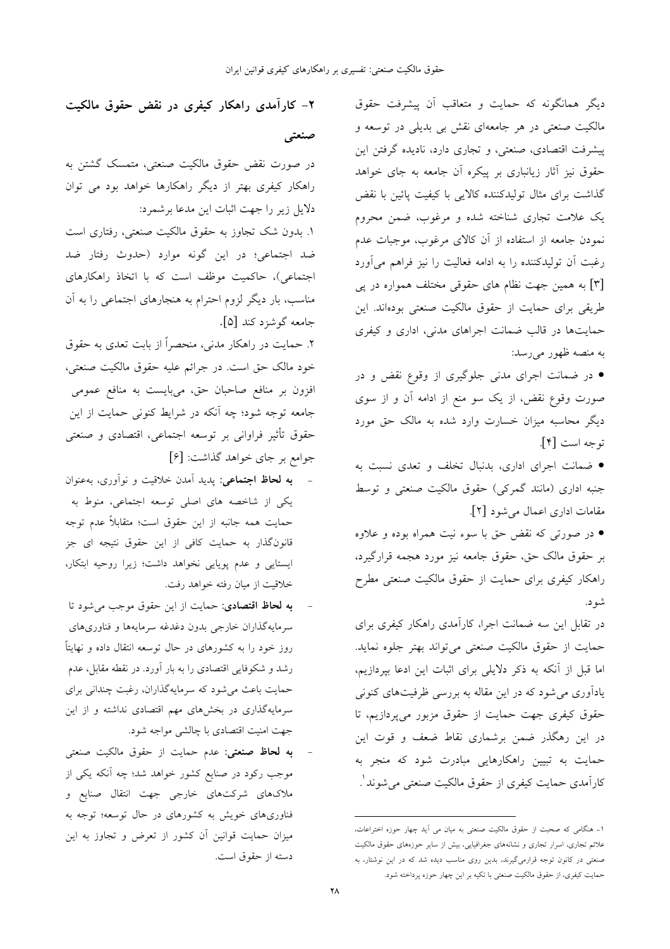دیگر همانگونه که حمایت و متعاقب آن پیشرفت حقوق مالکیت صنعتی در هر جامعهای نقش بی بدیلی در توسعه و پیشرفت اقتصادی، صنعتی، و تجاری دارد، نادیده گرفتن این حقوق نیز آثار زیانباری بر پیکره آن جامعه به جای خواهد گذاشت برای مثال تولیدکننده کالایی با کیفیت پائین با نقض یک علامت تجاری شناخته شده و مرغوب، ضمن محروم نمودن جامعه از استفاده از آن کالای مرغوب، موجبات عدم رغبت آن تولیدکننده را به ادامه فعالیت را نیز فراهم می آورد [۳] به همین جهت نظام های حقوقی مختلف همواره در پی طریقی برای حمایت از حقوق مالکیت صنعتی بودهاند. این حمایتها در قالب ضمانت اجراهای مدنی، اداری و کیفری به منصه ظهور می رسد:

• در ضمانت اجرای مدنی جلوگیری از وقوع نقض و در صورت وقوع نقض، از یک سو منع از ادامه آن و از سوی دیگر محاسبه میزان خسارت وارد شده به مالک حق مورد توجه است [۴].

• ضمانت اجرای اداری، بدنبال تخلف و تعدی نسبت به جنبه اداری (مانند گمرکی) حقوق مالکیت صنعتی و توسط مقامات اداری اعمال می شود [۲].

• در صورتی که نقض حق با سوء نیت همراه بوده و علاوه بر حقوق مالک حق، حقوق جامعه نيز مورد هجمه قرارگيرد، راهکار کیفری برای حمایت از حقوق مالکیت صنعتی مطرح شو د.

در تقابل این سه ضمانت اجرا، کارآمدی راهکار کیفری برای حمايت از حقوق مالكيت صنعتى مي تواند بهتر جلوه نمايد. اما قبل از آنکه به ذکر دلایلی برای اثبات این ادعا بپردازیم، یادآوری می شود که در این مقاله به بررسی ظرفیتهای کنونی حقوق کیفری جهت حمایت از حقوق مزبور میپردازیم، تا در این رهگذر ضمن برشماری نقاط ضعف و قوت این حمایت به تبیین راهکارهایی مبادرت شود که منجر به کارآمدی حمایت کیفری از حقوق مالکیت صنعتی می شوند ٰ.

۲- کارآمدی راهکار کیفری در نقض حقوق مالکیت

صنعتی

در صورت نقض حقوق مالکیت صنعتی، متمسک گشتن به راهکار کیفری بهتر از دیگر راهکارها خواهد بود می توان دلایل زیر را جهت اثبات این مدعا برشمرد:

١. بدون شک تجاوز به حقوق مالکیت صنعتی، رفتاری است ضد اجتماعی؛ در این گونه موارد (حدوث رفتار ضد اجتماعی)، حاکمیت موظف است که با اتخاذ راهکارهای مناسب، بار دیگر لزوم احترام به هنجارهای اجتماعی را به آن جامعه گوشزد کند [۵].

۲. حمایت در راهکار مدنی، منحصراً از بابت تعدی به حقوق خود مالک حق است. در جرائم علیه حقوق مالکیت صنعتی، افزون بر منافع صاحبان حق، میبایست به منافع عمومی جامعه توجه شود؛ چه اَنکه در شرایط کنونی حمایت از این حقوق تأثیر فراوانی بر توسعه اجتماعی، اقتصادی و صنعتی جوامع بر جای خواهد گذاشت: [۶]

- به لحاظ اجتماعی: پدید آمدن خلاقیت و نوآوری، بهعنوان یکی از شاخصه های اصلی توسعه اجتماعی، منوط به حمایت همه جانبه از این حقوق است؛ متقابلاً عدم توجه قانونگذار به حمایت کاف<sub>ی</sub> از این حقوق نتیجه ای جز ایستایی و عدم پویایی نخواهد داشت؛ زیرا روحیه ابتکار، خلاقیت از میان رفته خواهد رفت.
- به لحاظ اقتصادی: حمایت از این حقوق موجب می شود تا سرمایهگذاران خارجی بدون دغدغه سرمایهها و فناوریهای روز خود را به کشورهای در حال توسعه انتقال داده و نهایتاً رشد و شکوفایی اقتصادی را به بار آورد. در نقطه مقابل، عدم حمایت باعث میشود که سرمایهگذاران، رغبت چندانی برای سرمایهگذاری در بخشهای مهم اقتصادی نداشته و از این جهت امنیت اقتصادی با چالشی مواجه شود.
- به لحاظ صنعتی: عدم حمایت از حقوق مالکیت صنعتی موجب رکود در صنایع کشور خواهد شد؛ چه آنکه یکی از ملاکهای شرکتهای خارجی جهت انتقال صنایع و فناوریهای خویش به کشورهای در حال توسعه؛ توجه به میزان حمایت قوانین آن کشور از تعرض و تجاوز به این دسته از حقوق است.

۱۔ هنگامی که صحبت از حقوق مالکیت صنعتی به میان می آید چهار حوزه اختراعات، علائم تجاری، اسرار تجاری و نشانههای جغرافیایی، بیش از سایر حوزههای حقوق مالکیت صنعتی در کانون توجه قرارمی گیرند، بدین روی مناسب دیده شد که در این نوشتار، به حمایت کیفری، از حقوق مالکیت صنعتی با تکیه بر این چهار حوزه پرداخته شود.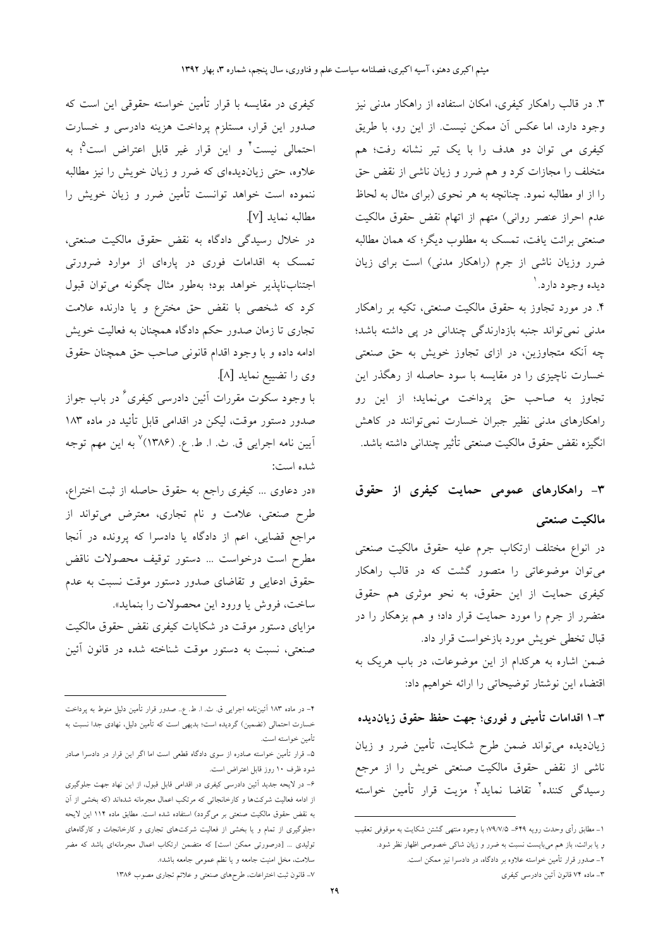۳. در قالب راهکار کیفری، امکان استفاده از راهکار مدنی نیز وجود دارد، اما عکس آن ممکن نیست. از این رو، با طریق کیفری می توان دو هدف را با یک تیر نشانه رفت؛ هم متخلف را مجازات کرد و هم ضرر و زیان ناشی از نقض حق را از او مطالبه نمود. چنانچه به هر نحوی (برای مثال به لحاظ عدم احراز عنصر روانبي) متهم از اتهام نقض حقوق مالكيت صنعتی برائت یافت، تمسک به مطلوب دیگر؛ که همان مطالبه ضرر وزیان ناشی از جرم (راهکار مدنی) است برای زیان ديده وجود دارد. ا

۴. در مورد تجاوز به حقوق مالکیت صنعتی، تکیه بر راهکار مدنی نمی تواند جنبه بازدارندگی چندانی در پی داشته باشد؛ چه آنکه متجاوزین، در ازای تجاوز خویش به حق صنعتی خسارت ناچیزی را در مقایسه با سود حاصله از رهگذر این تجاوز به صاحب حق پرداخت میفماید؛ از این رو راهکارهای مدنی نظیر جبران خسارت نمیتوانند در کاهش انگيزه نقض حقوق مالكيت صنعتى تأثير چنداني داشته باشد.

# ۳- راهکارهای عمومی حمایت کیفری از حقوق مالكيت صنعتى

در انواع مختلف ارتكاب جرم عليه حقوق مالكيت صنعتى می توان موضوعاتی را متصور گشت که در قالب راهکار کیفری حمایت از این حقوق، به نحو موثری هم حقوق متضرر از جرم را مورد حمایت قرار داد؛ و هم بزهکار را در قبال تخطی خویش مورد بازخواست قرار داد. ضمن اشاره به هرکدام از این موضوعات، در باب هریک به اقتضاء این نوشتار توضیحاتی را ارائه خواهیم داد:

۳–۱ اقدامات تأمینی و فوری؛ جهت حفظ حقوق زیانﺩیده زیاندیده می تواند ضمن طرح شکایت، تأمین ضرر و زیان ناشی از نقض حقوق مالکیت صنعتی خویش را از مرجع رسیدگی کننده<sup>۲</sup> تقاضا نماید<sup>۲</sup>؛ مزیت قرار تأمین خواسته

کیفری در مقایسه با قرار تأمین خواسته حقوقی این است که صدور این قرار، مستلزم پرداخت هزینه دادرسی و خسارت احتمالی نیست<sup>۲</sup> و این قرار غیر قابل اعتراض است<sup>0</sup>؛ به .<br>علاوه، حتى زيانديدهاى كه ضرر و زيان خويش را نيز مطالبه ننموده است خواهد توانست تأمین ضرر و زیان خویش را مطالبه نمايد [٧].

در خلال رسیدگی دادگاه به نقض حقوق مالکیت صنعتی، .<br>تمسک به اقدامات فوری در پارهای از موارد ضرورتی اجتنابناپذیر خواهد بود؛ بهطور مثال چگونه میتوان قبول کرد که شخصی با نقض حق مخترع و یا دارنده علامت تجاری تا زمان صدور حکم دادگاه همچنان به فعالیت خویش ادامه داده و با وجود اقدام قانونی صاحب حق همچنان حقوق وى را تضييع نمايد [٨].

با وجود سکوت مقررات اَئین دادرسی کیفری<sup>ء</sup>ٌ در باب جواز صدور دستور موقت، لیکن در اقدامی قابل تأئید در ماده ۱۸۳ اّيين نامه اجرايي ق. ث. ا. ط. ع. (۱۳۸۶)<sup>٧</sup> به اين مهم توجه شده است:

«در دعاوى ... كيفرى راجع به حقوق حاصله از ثبت اختراع، طرح صنعتی، علامت و نام تجاری، معترض میتواند از مراجع قضایی، اعم از دادگاه یا دادسرا که پرونده در آنجا مطرح است درخواست … دستور توقیف محصولات ناقض حقوق ادعایی و تقاضای صدور دستور موقت نسبت به عدم ساخت، فروش يا ورود اين محصولات را بنمايد».

مزایای دستور موقت در شکایات کیفری نقض حقوق مالکیت صنعتی، نسبت به دستور موقت شناخته شده در قانون آئین

١\_ مطابق رأى وحدت رويه ٤۴٩\_ ٧٩/٧/٥؛ با وجود منتهى گشتن شكايت به موقوفى تعقيب و یا برائت، باز هم میبایست نسبت به ضرر و زیان شاکی خصوصی اظهار نظر شود.

۲- صدور قرار تأمین خواسته علاوه بر دادگاه، در دادسرا نیز ممکن است.

۳ـ ماده ۷۴ قانون اَئین دادرسی کیفری

۴– در ماده ۱۸۳ آئینiامه اجرایی ق. ث. ا. ط. ع.. صدور قرار تأمین دلیل منوط به پرداخت خسارت احتمالی (تضمین) گردیده است؛ بدیهی است که تأمین دلیل، نهادی جدا نسبت به تأمين خواسته است.

۵ـ قرار تأمین خواسته صادره از سوی دادگاه قطعی است اما اگر این قرار در دادسرا صادر شود ظرف ۱۰ روز قابل اعتراض است.

۶– در لایحه جدید آئین دادرسی کیفری در اقدامی قابل قبول، از این نهاد جهت جلوگیری از ادامه فعالیت شرکتها و کارخانجاتی که مرتکب اعمال مجرمانه شدهاند (که بخشی از آن به نقض حقوق مالکیت صنعتی بر میگردد) استفاده شده است. مطابق ماده ۱۱۴ این لایحه «جلوگیری از تمام و یا بخشی از فعالیت شرکتهای تجاری و کارخانجات و کارگاههای تولیدی … [درصورتی ممکن است] که متضمن ارتکاب اعمال مجرمانهای باشد که مضر سلامت، مخل امنیت جامعه و یا نظم عمومی جامعه باشد».

۷ـ قانون ثبت اختراعات، طرحهای صنعتی و علائم تجاری مصوب ۱۳۸۶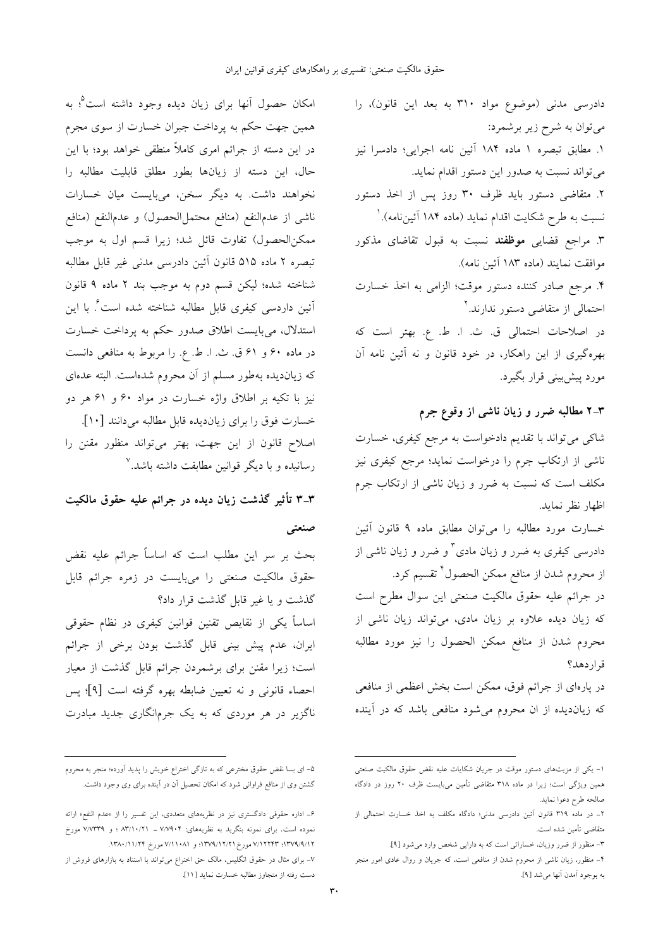امکان حصول آنها برای زیان دیده وجود داشته است<sup>0</sup>؛ به همین جهت حکم به پرداخت جبران خسارت از سوی مجرم در این دسته از جرائم امری کاملاً منطقی خواهد بود؛ با این حال، این دسته از زیانها بطور مطلق قابلیت مطالبه را نخواهند داشت. به دیگر سخن، میبایست میان خسارات ناشي از عدمالنفع (منافع محتمل|لحصول) و عدم|لنفع (منافع ممكن|لحصول) تفاوت قائل شد؛ زيرا قسم اول به موجب تبصره ۲ ماده ۵۱۵ قانون آئین دادرسی مدنی غیر قابل مطالبه شناخته شده؛ ليكن قسم دوم به موجب بند ٢ ماده ٩ قانون اَئین داردسی کیفری قابل مطالبه شناخته شده است<sup>۶</sup>. با این استدلال، میبایست اطلاق صدور حکم به پرداخت خسارت در ماده ۶۰ و ۶۱ ق. ث. ا. ط. ع. را مربوط به منافعي دانست که زیاندیده بهطور مسلم از آن محروم شدهاست. البته عدهای نیز با تکیه بر اطلاق واژه خسارت در مواد ۶۰ و ۶۱ هر دو خسارت فوق را برای زیاندیده قابل مطالبه میدانند [۱۰].

گذشت و یا غیر قابل گذشت قرار داد؟ ایران، عدم پیش بینی قابل گذشت بودن برخی از جرائم است؛ زیرا مقنن برای برشمردن جرائم قابل گذشت از معیار احصاء قانونی و نه تعیین ضابطه بهره گرفته است [۹]؛ پس ناگزیر در هر موردی که به یک جرمانگاری جدید مبادرت

دست رفته از متجاوز مطالبه خسارت نمايد [١١].

اصلاح قانون از این جهت، بهتر میتواند منظور مقنن را رسانیده و با دیگر قوانین مطابقت داشته باشد.<sup>۷</sup> ۳-۳ تأثیر گذشت زیان دیده در جرائم علیه حقوق مالکیت صنعتبي بحث بر سر این مطلب است که اساساً جرائم علیه نقض حقوق مالکیت صنعتی را میبایست در زمره جرائم قابل اساساً یکی از نقایص تقنین قوانین کیفری در نظام حقوقی

دادرسی کیفری به ضرر و زیان مادی<sup>۳</sup> و ضرر و زیان ناشی از از محروم شدن از منافع ممکن الحصول ٔ تقسیم کرد. در جرائم علیه حقوق مالکیت صنعتی این سوال مطرح است که زیان دیده علاوه بر زیان مادی، میتواند زیان ناشی از محروم شدن از منافع ممكن الحصول را نيز مورد مطالبه

> در پارهای از جرائم فوق، ممکن است بخش اعظمی از منافعی که زیاندیده از ان محروم میشود منافعی باشد که در آینده

> دادرسی مدنی (موضوع مواد ۳۱۰ به بعد این قانون)، را

١. مطابق تبصره ١ ماده ١٨٤ آئين نامه اجرايئ؛ دادسرا نيز

۲. متقاضی دستور باید ظرف ۳۰ روز پس از اخذ دستور

۳. مراجع قضایی مو**ظفند** نسبت به قبول تقاضای مذکور

۴. مرجع صادر کننده دستور موقت؛ الزامی به اخذ خسارت

در اصلاحات احتمالی ق. ث. ا. ط. ع. بهتر است که

بهرهگیری از این راهکار، در خود قانون و نه آئین نامه آن

شاکی می تواند با تقدیم دادخواست به مرجع کیفری، خسارت

ناشی از ارتکاب جرم را درخواست نماید؛ مرجع کیفری نیز

مکلف است که نسبت به ضرر و زیان ناشی از ارتکاب جرم

خسارت مورد مطالبه را میٍتوان مطابق ماده ۹ قانون آئین

نسبت به طرح شکایت اقدام نماید (ماده ۱۸۴ آئینiامه). `

می تواند نسبت به صدور این دستور اقدام نماید.

موافقت نمايند (ماده ۱۸۳ آئين نامه).

احتمالی از متقاضی دستور ندارند.<sup>۲</sup>

۳–۲ مطالبه ضرر و زیان ناشی از وقوع جرم

مورد پیشبینی قرار بگیرد.

اظهار نظر نمايد.

قراردهد؟

ميتوان به شرح زير برشمرد:

۵– ای بسا نقض حقوق مخترعی که به تازگی اختراع خویش را پدید آورده؛ منجر به محروم گشتن وی از منافع فراوانی شود که امکان تحصیل آن در آینده برای وی وجود داشت.

۶– اداره حقوقی دادگستری نیز در نظریههای متعددی، این تفسیر را از «عدم النفع» ارائه نموده است. برای نمونه بنگرید به نظریههای: ۷/۷۹۰۴ ـ ۸۳/۱۰/۲۱ ؛ و ۷/۷۳۳۹ مورخ ۰۱۳۷۹/۹/۱۲ تا ۷/۱۲۲۴۳ مورخ ۱۳۷۹/۱۲/۲۱ و ۷/۱۱۰۸۱ مورخ ۱۳۸۰/۱۱/۲۴. ۷– برای مثال در حقوق انگلیس، مالک حق اختراع میتواند با استناد به بازارهای فروش از

١- يكي از مزيتهاى دستور موقت در جريان شكايات عليه نقض حقوق مالكيت صنعتى همین ویژگی است؛ زیرا در ماده ۳۱۸ متقاضی تأمین میبایست ظرف ۲۰ روز در دادگاه صالحه طرح دعوا نمايد.

۲– در ماده ۳۱۹ قانون آئین دادرسی مدنی؛ دادگاه مکلف به اخذ خسارت احتمالی از متقاضى تأمين شده است.

٣- منظور از ضرر وزيان، خساراتي است كه به دارايي شخص وارد مي شود [٩].

۴– منظور، زیان ناشی از محروم شدن از منافعی است، که جریان و روال عادی امور منجر به بوجود أمدن أنها مي شد [۹].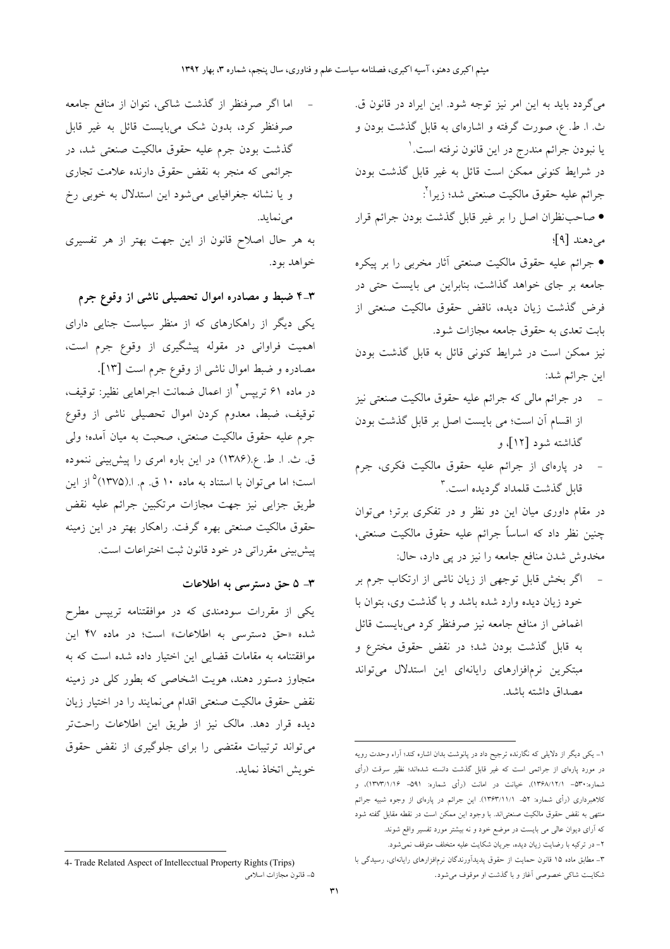می گردد باید به این امر نیز توجه شود. این ایراد در قانون ق. ث. ا. ط. ع، صورت گرفته و اشارهای به قابل گذشت بودن و يا نبودن جرائم مندرج در اين قانون نرفته است.' در شرایط کنونی ممکن است قائل به غیر قابل گذشت بودن جرائم عليه حقوق مالكيت صنعتى شد؛ زيراً ْ: ● صاحب نظران اصل را بر غیر قابل گذشت بودن جرائم قرار می دهند [۹]؛

> ● جرائم علیه حقوق مالکیت صنعتی آثار مخربی را بر پیکره جامعه بر جای خواهد گذاشت، بنابراین می بایست حتی در فرض گذشت زيان ديده، ناقض حقوق مالكيت صنعتى از بابت تعدی به حقوق جامعه مجازات شود.

> نیز ممکن است در شرایط کنونی قائل به قابل گذشت بودن اين جرائم شد:

- در جرائم مالی که جرائم علیه حقوق مالکیت صنعتی نیز از اقسام آن است؛ می بایست اصل بر قابل گذشت بودن گذاشته شود [۱۲]، و
- در یارهای از جرائم علیه حقوق مالکیت فکری، جرم قابل گذشت قلمداد گردیده است.۳

در مقام داوری میان این دو نظر و در تفکری برتر؛ می توان چنین نظر داد که اساساً جرائم علیه حقوق مالکیت صنعتی، مخدوش شدن منافع جامعه را نیز در پی دارد، حال:

اگر بخش قابل توجهی از زیان ناشی از ارتکاب جرم بر خود زیان دیده وارد شده باشد و با گذشت وی، بتوان با اغماض از منافع جامعه نیز صرفنظر کرد میبایست قائل به قابل گذشت بودن شد؛ در نقض حقوق مخترع و مبتکرین نرمافزارهای رایانهای این استدلال میتواند مصداق داشته ىاشد.

اما اگر صرفنظر از گذشت شاکی، نتوان از منافع جامعه صرفنظر کرد، بدون شک میبایست قائل به غیر قابل گذشت بودن جرم علیه حقوق مالکیت صنعتی شد، در جرائمی که منجر به نقض حقوق دارنده علامت تجاری و یا نشانه جغرافیایی می شود این استدلال به خوبی رخ مى نمايد.

به هر حال اصلاح قانون از این جهت بهتر از هر تفسیری خواهد بود.

۳–۴ ضبط و مصادره اموال تحصیلی ناشی از وقوع جرم

یکی دیگر از راهکارهای که از منظر سیاست جنایی دارای اهمیت فراوانی در مقوله پیشگیری از وقوع جرم است، مصادره و ضبط اموال ناشی از وقوع جرم است [۱۳].

در ماده ۶۱ تریپس ٔ از اعمال ضمانت اجراهایی نظیر: توقیف، توقیف، ضبط، معدوم کردن اموال تحصیلی ناشی از وقوع جرم عليه حقوق مالكيت صنعتي، صحبت به ميان آمده؛ ولي ق ث. ا ط ع.(۱۳۸۶) در این باره امری را پیشبینی ننموده است؛ اما میتوان با استناد به ماده ۱۰ ق. م. ا.(۱۳۷۵<sup>° ا</sup>ز این طریق جزایی نیز جهت مجازات مرتکبین جرائم علیه نقض حقوق مالکیت صنعتی بهره گرفت. راهکار بهتر در این زمینه ييش بيني مقرراتي در خود قانون ثبت اختراعات است.

#### ٣- ۵ حق دسترسی به اطلاعات

یکی از مقررات سودمندی که در موافقتنامه تریپس مطرح شده «حق دسترسی به اطلاعات» است؛ در ماده ۴۷ این موافقتنامه به مقامات قضایی این اختیار داده شده است که به متجاوز دستور دهند، هویت اشخاصی که بطور کل<sub>ی</sub> در زمینه .<br>نقض حقوق مالکیت صنعتی اقدام میiمایند را در اختیار زیان دیده قرار دهد. مالک نیز از طریق این اطلاعات راحتتر می تواند ترتیبات مقتضی را برای جلوگیری از نقض حقوق خويش اتخاذ نمايد.

۱- یکی دیگر از دلایلی که نگارنده ترجیح داد در پانوشت بدان اشاره کند؛ آراء وحدت رویه در مورد پارهای از جرائمی است که غیر قابل گذشت دانسته شدهاند؛ نظیر سرقت (رأی شماره:۵۳۰– ۱۳۶۸/۱۲/۱), خیانت در امانت (رأی شماره: ۵۹۱– ۱۳۷۳/۱/۱۶)، و كلاهبرداري (رأي شماره: ۵۲ـ ۱۳۶۳/۱۱/۱). اين جرائم در پارهاي از وجوه شبيه جرائم منتهی به نقض حقوق مالکیت صنعتی|ند. با وجود این ممکن است در نقطه مقابل گفته شود که آرای دیوان عالی می بایست در موضع خود و نه بیشتر مورد تفسیر واقع شوند. ۲- در ترکیه با رضایت زیان دیده، جریان شکایت علیه متخلف متوقف نمیشود.

۳– مطابق ماده ۱۵ قانون حمایت از حقوق پدیدآورندگان نرمافزارهای رایانهای، رسیدگی با شکایـت شاکی خصوصی آغاز و با گذشت او موقوف میشود.

<sup>4-</sup> Trade Related Aspect of Intellecctual Property Rights (Trips) ۵– قانون مجازات اسلامي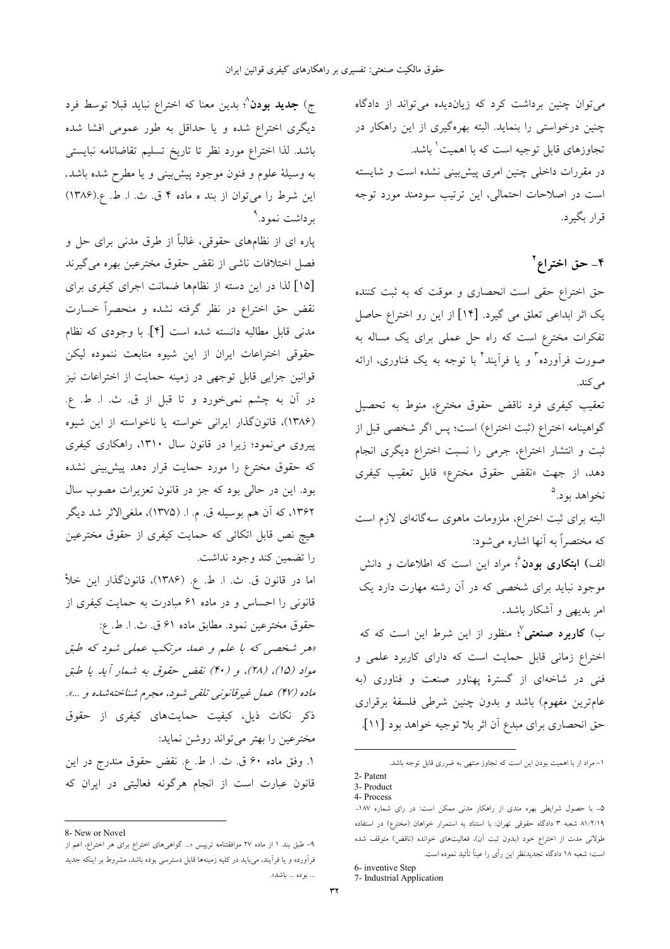می توان چنین برداشت کرد که زیاندیده می تواند از دادگاه چنین درخواستی را بنماید. البته بهرهگیری از این راهکار در تجاوزهای قابل توجیه است که با اهمیت ٰ باشد. در مقررات داخلی چنین امری پیشبینی نشده است و شایسته است در اصلاحات احتمالی، این ترتیب سودمند مورد توجه قرار بگیرد.

۴- حق اختراع<sup>۲</sup>

حق اختراع حقی است انحصاری و موقت که به ثبت کننده یک اثر ابداعی تعلق می گیرد. [۱۴] از این رو اختراع حاصل تفکرات مخترع است که راه حل عملی برای یک مساله به صورت فرآورده" و یا فرآیند" با توجه به یک فناوری، ارائه مى كند.

تعقيب كيفري فرد ناقض حقوق مخترع، منوط به تحصيل گواهینامه اختراع (ثبت اختراع) است؛ پس اگر شخصی قبل از ثبت و انتشار اختراع، جرمی را نسبت اختراع دیگری انجام دهد، از جهت «نقض حقوق مخترع» قابل تعقيب كيفرى نخواهد پود.<sup>0</sup>

البته برای ثبت اختراع، ملزومات ماهوی سهگانهای لازم است که مختصراً به آنها اشاره می شود:

الف) **ابتکاری بودن** ٔ؛ مراد این است که اطلاعات و دانش موجود نباید برای شخصی که در آن رشته مهارت دارد یک امر بدیهی و آشکار باشد.

ب) **کاربرد صنعتی** <sup>۷</sup>؛ منظور از این شرط این است که که اختراع زمانی قابل حمایت است که دارای کاربرد علمی و فنی در شاخهای از گسترهٔ پهناور صنعت و فناوری (به عامترین مفهوم) باشد و بدون چنین شرطی فلسفهٔ برقراری حق انحصاري براي مبدع آن اثر بلا توجيه خواهد بود [١١].

۱– مراد از با اهمیت بودن این است که تجاوز منتهی به ضرری قابل توجه باشد.

6- inventive Step

ج) **جدید بودن**^؛ بدین معنا که اختراع نباید قبلا توسط فرد دیگری اختراع شده و یا حداقل به طور عمومی افشا شده باشد. لذا اختراع مورد نظر تا تاريخ تسليم تقاضانامه نبايستي به وسیلهٔ علوم و فنون موجود پیشبینی و یا مطرح شده باشد. این شرط را می توان از بند ه ماده ۴ ق. ث. ا. ط. ع.(۱۳۸۶) بر داشت نمو د.<sup>۹</sup>

پاره ای از نظامهای حقوقی، غالباً از طرق مدنی برای حل و فصل اختلافات ناشي از نقض حقوق مخترعين بهره مي گيرند [۱۵] لذا در این دسته از نظامها ضمانت اجرای کیفری برای نقض حق اختراع در نظر گرفته نشده و منحصراً خسارت مدنی قابل مطالبه دانسته شده است [۴]. با وجودی که نظام حقوقی اختراعات ایران از این شیوه متابعت ننموده لیکن قوانین جزایی قابل توجهی در زمینه حمایت از اختراعات نیز در آن به چشم نمیخورد و تا قبل از ق ث. ا. ط. ع. (۱۳۸۶)، قانون گذار ایرانی خواسته یا ناخواسته از این شیوه پیروی می نمود؛ زیرا در قانون سال ۱۳۱۰، راهکاری کیفری که حقوق مخترع را مورد حمایت قرار دهد پیش بینی نشده بود. این در حالی بود که جز در قانون تعزیرات مصوب سال ۱۳۶۲، که آن هم بوسیله ق. م. ا. (۱۳۷۵)، ملغیالاثر شد دیگر هیچ نص قابل اتکائی که حمایت کیفری از حقوق مخترعین را تضمين كند وجود نداشت.

اما در قانون ق. ث. ا. ط. ع. (۱۳۸۶)، قانونگذار این خلأ قانونی را احساس و در ماده ۶۱ مبادرت به حمایت کیفری از حقوق مخترعين نمود. مطابق ماده ۶۱ ق. ث. ا. ط. ع:

«هر شخصی که با علم و عمد مرتکب عملی شود که طبق مواد (١۵)، (٢٨)، و (۴٠) نقض حقوق به شمار أيد يا طبق ماده (۴۷) عمل غیرقانونی تلقی شود، مجرم شناخته شده و ...». ذکر نکات ذیل، کیفیت حمایتهای کیفری از حقوق مخترعین را بهتر میتواند روشن نماید:

١. وفق ماده ۶۰ ق. ث. ا. ط. ع. نقض حقوق مندرج در اين قانون عبارت است از انجام هرگونه فعالیتی در ایران که

<sup>2-</sup> Patent

<sup>3-</sup> Product 4- Process

۵- با حصول شرایطی بهره مندی از راهکار مدنی ممکن است: در رای شماره ۱۸۷-۸۱/۲/۱۹ شعبه ۳ دادگاه حقوقی تهران: با استناد به استمرار خواهان (مخترع) در استفاده طولانی مدت از اختراع خود (بدون ثبت آن)، فعالیتهای خوانده (ناقض) متوقف شده است؛ شعبه ١٨ دادگاه تجديدنظر اين رأي را عيناً تأثيد نموده است.

<sup>7-</sup> Industrial Application

<sup>8-</sup> New or Novel

۹– طبق بند ۱ از ماده ۲۷ موافقتنامه تریپس «... گواهیهای اختراع برای هر اختراع، اعم از فرآورده و یا فرآیند، میباید در کلیه زمینهها قابل دسترسی بوده باشد، مشروط بر اینکه جدید ... بوده ... باشد».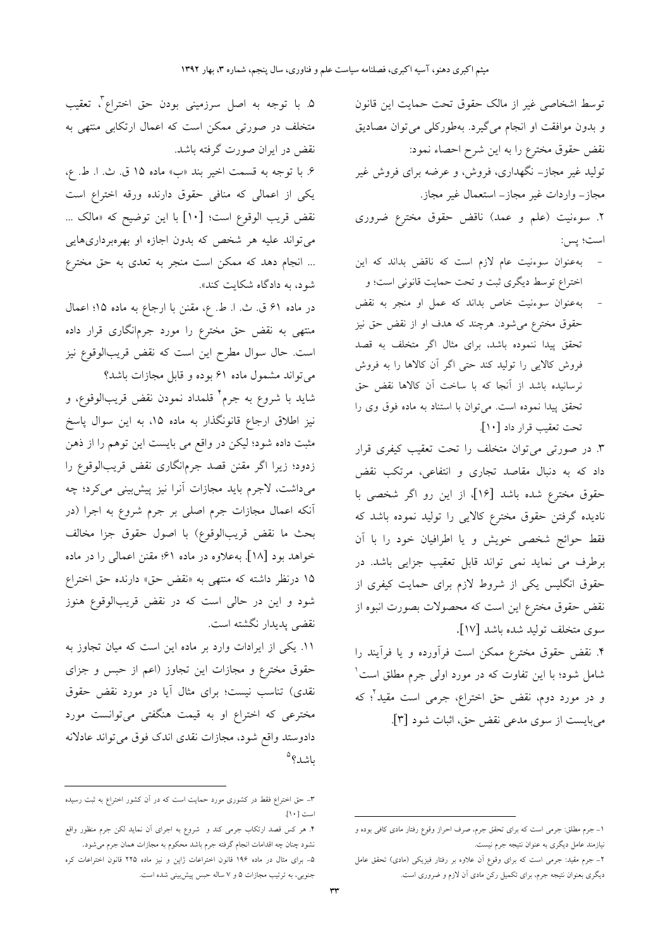توسط اشخاصی غیر از مالک حقوق تحت حمایت این قانون و بدون موافقت او انجام می گیرد. بهطورکلی می توان مصادیق نقض حقوق مخترع را به این شرح احصاء نمود: تولید غیر مجاز– نگهداری، فروش، و عرضه برای فروش غیر مجاز– واردات غير مجاز– استعمال غير مجاز. ۲. سوءنیت (علم و عمد) ناقض حقوق مخترع ضروری

است؛ پس:

- به عنوان سوءنیت عام لازم است که ناقض بداند که این اختراع توسط دیگری ثبت و تحت حمایت قانونی است؛ و
- به عنوان سوءنیت خاص بداند که عمل او منجر به نقض حقوق مخترِع میشود. هرچند که هدف او از نقض حق نیز تحقق پیدا ننموده باشد، برای مثال اگر متخلف به قصد فروش كالايي را توليد كند حتى اگر آن كالاها را به فروش نرسانیده باشد از آنجا که با ساخت آن کالاها نقض حق تحقق پیدا نموده است. میتوان با استناد به ماده فوق وی را تحت تعقيب قرار داد [١٠].

۳. در صورتی می توان متخلف را تحت تعقیب کیفری قرار داد که به دنبال مقاصد تجاری و انتفاعی، مرتکب نقض حقوق مخترع شده باشد [۱۶]، از این رو اگر شخصی با .<br>نادیده گرفتن حقوق مخترع کالای<sub>ی</sub> را تولید نموده باشد که .<br>فقط حوائج شخصی خویش و یا اطرافیان خود را با آن برطرف می نماید نمی تواند قابل تعقیب جزایی باشد. در حقوق انگلیس یکی از شروط لازم برای حمایت کیفری از نقض حقوق مخترع این است که محصولات بصورت انبوه از سوى متخلف توليد شده باشد [١٧].

۴. نقض حقوق مخترع ممكن است فرأورده و يا فرأيند را شامل شود؛ با این تفاوت که در مورد اولی جرم مطلق است ْ و در مورد دوم، نقض حق اختراع، جرمی است مقید<sup>؟</sup>؛ که مي بايست از سوى مدعى نقض حق، اثبات شود [٣].

۵. با توجه به اصل سرزمینی بودن حق اختراع<sup>7</sup>، تعقیب متخلف در صورتی ممکن است که اعمال ارتکابی منتهی به نقض در ایران صورت گرفته باشد. ۶. با توجه به قسمت اخیر بند «ب» ماده ۱۵ ق. ث. ا. ط. ع، یکی از اعمالی که منافی حقوق دارنده ورقه اختراع است نقض قريب الوقوع است؛ [١٠] با اين توضيح كه «مالك ... می تواند علیه هر شخص که بدون اجازه او بهرهبرداریهایی ... انجام دهد که ممکن است منجر به تعدی به حق مخترع شود، به دادگاه شکایت کند».

در ماده ۶۱ ق. ث. ا. ط. ع، مقنن با ارجاع به ماده ۱۵؛ اعمال منتهی به نقض حق مخترع را مورد جرمانگاری قرار داده است. حال سوال مطرح این است که نقض قریبالوقوع نیز می تواند مشمول ماده ۶۱ بوده و قابل مجازات باشد؟

شايد با شروع به جرم<sup>۴</sup> قلمداد نمودن نقض قريبالوقوع، و نیز اطلاق ارجاع قانونگذار به ماده ۱۵، به این سوال پاسخ مثبت داده شود؛ لیکن در واقع می بایست این توهم را از ذهن زدود؛ زیرا اگر مقنن قصد جرمانگاری نقض قریبالوقوع را میداشت، لاجرم باید مجازات آنرا نیز پیشبینی میکرد؛ چه آنکه اعمال مجازات جرم اصلی بر جرم شروع به اجرا (در بحث ما نقض قريبالوقوع) با اصول حقوق جزا مخالف خواهد بود [۱۸]. به علاوه در ماده ۶۱؛ مقنن اعمالی را در ماده ۱۵ درنظر داشته که منتهی به «نقض حق» دارنده حق اختراع شود و این در حالی است که در نقض قریبالوقوع هنوز نقضى پديدار نگشته است.

١١. يكي از ايرادات وارد بر ماده اين است كه ميان تجاوز به حقوق مخترع و مجازات این تجاوز (اعم از حبس و جزای نقدی) تناسب نیست؛ برای مثال آیا در مورد نقض حقوق مخترعی که اختراع او به قیمت هنگفتی میتوانست مورد دادوستد واقع شود، مجازات نقدی اندک فوق میتواند عادلانه ىاشد؟<sup>٥</sup>

۱\_ جرم مطلق: جرمي است كه براي تحقق جرم، صرف احراز وقوع رفتار مادي كافي بوده و نیازمند عامل دیگری به عنوان نتیجه جرم نیست.

۲– جرم مقید: جرمی است که برای وقوع آن علاوه بر رفتار فیزیکی (مادی) تحقق عامل دیگری بعنوان نتیجه جرم، برای تکمیل رکن مادی آن لازم و ضروری است.

۳ـ حق اختراع فقط در کشوری مورد حمایت است که در آن کشور اختراع به ثبت رسیده است [۱۰].

۴. هر کس قصد ارتکاب جرمی کند و شروع به اجرای آن نماید لکن جرم منظور واقع نشود چنان چه اقدامات انجام گرفته جرم باشد محکوم به مجازات همان جرم میشود. ۵– برای مثال در ماده ۱۹۶ قانون اختراعات ژاپن و نیز ماده ۲۲۵ قانون اختراعات کره جنوبی، به ترتیب مجازات ۵ و ۷ ساله حبس پیش بینی شده است.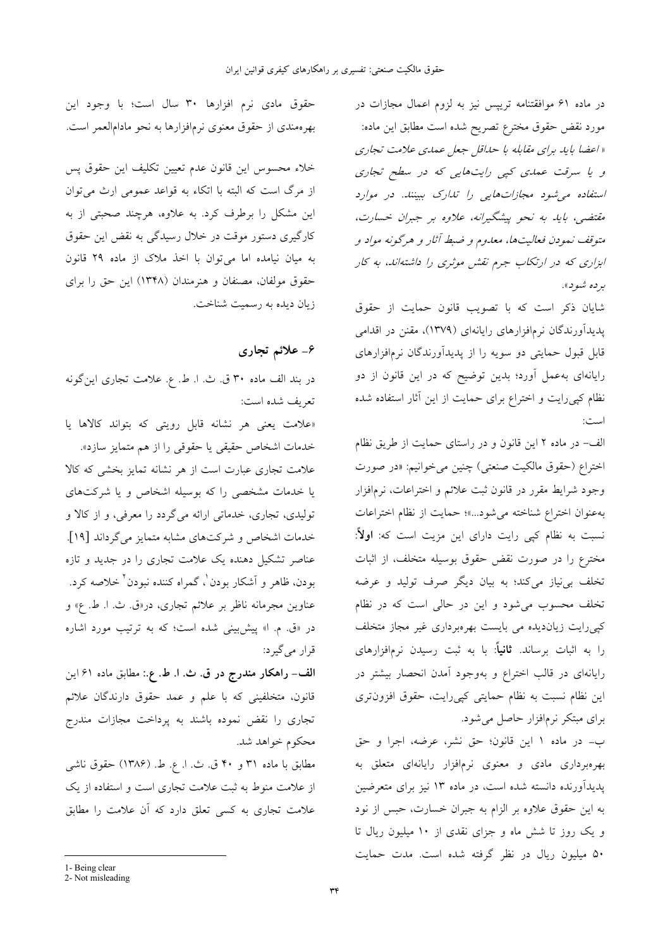در ماده ۶۱ موافقتنامه تریپس نیز به لزوم اعمال مجازات در مورد نقض حقوق مخترع تصريح شده است مطابق اين ماده: « اعضا بايد براي مقابله با حداقل جعل عمدي علامت تجاري و یا سرقت عملی کیی رایتهایی که در سطح تجاری استفاده می شود مجازات هایی را تدارک ببینند. در موارد مقتضی، باید به نحو پیشگیرانه، علاوه بر جبران خسارت، متوقف نمودن فعالیتها، معدوم و ضبط آثار و هرگونه مواد و ابزاری که در ارتکاب جرم نقش موثری را داشتهاند، به کار برده شود».

شایان ذکر است که با تصویب قانون حمایت از حقوق پدیدآورندگان نرمافزارهای رایانهای (۱۳۷۹)، مقنن در اقدامی قابل قبول حمایتی دو سویه را از پدیدآورندگان نرمافزارهای رایانهای بهعمل آورد؛ بدین توضیح که در این قانون از دو نظام کپی رایت و اختراع برای حمایت از این آثار استفاده شده

الف- در ماده ٢ اين قانون و در راستاى حمايت از طريق نظام اختراع (حقوق مالكيت صنعتى) چنين مى خوانيم: «در صورت وجود شرایط مقرر در قانون ثبت علائم و اختراعات، نرمافزار بهعنوان اختراع شناخته مى شود...»؛ حمايت از نظام اختراعات نسبت به نظام کپی رایت دارای این مزیت است که: ا**ولاً**: مخترع را در صورت نقض حقوق بوسیله متخلف، از اثبات تخلف بی نیاز میکند؛ به بیان دیگر صرف تولید و عرضه تخلف محسوب می شود و این در حالی است که در نظام کپیرایت زیاندیده می بایست بهرهبرداری غیر مجاز متخلف را به اثبات برساند. **ثانیاً**: با به ثبت رسیدن نرمافزارهای رایانهای در قالب اختراع و بهوجود آمدن انحصار بیشتر در این نظام نسبت به نظام حمایتی کیی رایت، حقوق افزونتری برای مبتکر نرمافزار حاصل می شود.

ب- در ماده ١ اين قانون؛ حق نشر، عرضه، اجرا و حق بهرهبرداری مادی و معنوی نرمافزار رایانهای متعلق به پدیدآورنده دانسته شده است، در ماده ۱۳ نیز برای متعرضین به این حقوق علاوه بر الزام به جبران خسارت، حبس از نود و یک روز تا شش ماه و جزای نقدی از ١٠ میلیون ریال تا ۵۰ میلیون ریال در نظر گرفته شده است. مدت حمایت

حقوق مادى نرم افزارها ٣٠ سال است؛ با وجود اين بهرهمندی از حقوق معنوی نرمافزارها به نحو مادامالعمر است.

خلاء محسوس این قانون عدم تعیین تکلیف این حقوق پس از مرگ است که البته با اتکاء به قواعد عمومی ارث می توان این مشکل را برطرف کرد. به علاوه، هرچند صحبتی از به کارگیری دستور موقت در خلال رسیدگی به نقض این حقوق به میان نیامده اما میتوان با اخذ ملاک از ماده ۲۹ قانون حقوق مولفان، مصنفان و هنرمندان (۱۳۴۸) این حق را برای زيان ديده به رسميت شناخت.

### ۶\_ علائم تجاري

در بند الف ماده ۳۰ ق. ث. ا. ط. ع. علامت تجاري اين گونه تعريف شده است:

«علامت یعنی هر نشانه قابل رویتی که بتواند کالاها یا خدمات اشخاص حقيقى يا حقوقى را از هم متمايز سازد». علامت تجاری عبارت است از هر نشانه تمایز بخشی که کالا یا خدمات مشخصی را که بوسیله اشخاص و یا شرکتهای تولیدی، تجاری، خدماتی ارائه میگردد را معرفی، و از کالا و خدمات اشخاص و شرکتهای مشابه متمایز میگرداند [۱۹]. عناصر تشکیل دهنده یک علامت تجاری را در جدید و تازه بودن، ظاهر و اَشکار بودن ْ، گمراه کننده نبودن ْ خلاصه کرد. عناوين مجرمانه ناظر بر علائم تجاري، در«ق ث. ا. ط. ع» و در «ق. م. ا» پیشبینی شده است؛ که به ترتیب مورد اشاره قرار می گیرد:

الف- راهكار مندرج در ق. ث. ا. ط. ع.: مطابق ماده ۶۱ اين قانون، متخلفینی که با علم و عمد حقوق دارندگان علائم تجاری را نقض نموده باشند به پرداخت مجازات مندرج محکوم خواهد شد.

مطابق با ماده ۳۱ و ۴۰ ق. ث. ا. ع. ط. (۱۳۸۶) حقوق ناشی از علامت منوط به ثبت علامت تجارى است و استفاده از یک علامت تجاری به کسی تعلق دارد که آن علامت را مطابق

<sup>1-</sup> Being clear

<sup>2-</sup> Not misleading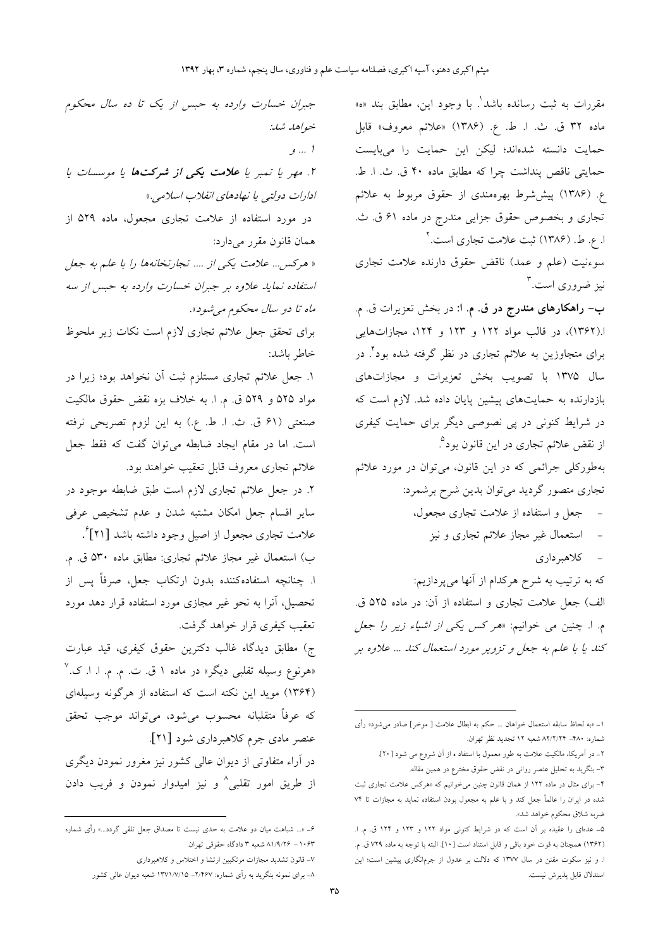جبران خسارت وارده به حبس از یک تا ده سال محکوم خواهد شد: ا … و ۲. مهر یا تمبر یا **علامت یک***ی از شرکتها یا موسسات یا* ادارات دولتي يا نهادهاي انقلاب اسلامي.» در مورد استفاده از علامت تجاری مجعول، ماده ۵۲۹ از همان قانون مقرر می دارد: « هرکس ... علامت یکی از .... تجارتخانهها را با علم به جعل استفاده نماید علاوه بر جبران خسارت وارده به حبس از سه ماه تا دو سال محکوم می شود». برای تحقق جعل علائم تجاری لازم است نکات زیر ملحوظ خاطر باشد: ۱. جعل علائم تجاري مستلزم ثبت آن نخواهد بود؛ زيرا در مواد ۵۲۵ و ۵۲۹ ق. م. ا. به خلاف بزه نقض حقوق مالكيت صنعتی (۶۱ ق ث. ا. ط. ع.) به این لزوم تصریحی نرفته است. اما در مقام ایجاد ضابطه میتوان گفت که فقط جعل علائم تجاري معروف قابل تعقيب خواهند بود. ۲. در جعل علائم تجاری لازم است طبق ضابطه موجود در سایر اقسام جعل امکان مشتبه شدن و عدم تشخیص عرفی علامت تجاري مجعول از اصيل وجود داشته باشد [۲۱] ٌ. ب) استعمال غير مجاز علائم تجارى: مطابق ماده ۵۳۰ ق. م. ا. چنانچه استفادهکننده بدون ارتکاب جعل، صرفاً پس از تحصیل، آنرا به نحو غیر مجازی مورد استفاده قرار دهد مورد تعقيب كيفري قرار خواهد گرفت. ج) مطابق دیدگاه غالب دکترین حقوق کیفری، قید عبارت «هرنوع وسیله تقلبی دیگر» در ماده ۱ ق. ت. م. م. ا. ا. ک.<sup>۷</sup> (۱۳۶۴) موید این نکته است که استفاده از هرگونه وسیلهای كه عرفاً متقلبانه محسوب مىشود، مىتواند موجب تحقق عنصر مادي جرم كلاهبرداري شود [۲۱]. در آراء متفاوتی از دیوان عالی کشور نیز مغرور نمودن دیگری از طریق امور تقلبی<sup>^</sup> و نیز امیدوار نمودن و فریب دادن

مقررات به ثبت رسانده باشد<sup>י</sup>. با وجود این، مطابق بند «ه» ماده ٣٢ ق. ث. ا. ط. ع. (١٣٨۶) «علائم معروف» قابل حمایت دانسته شدهاند؛ لیکن این حمایت را میبایست حمايتي ناقص پنداشت چرا كه مطابق ماده ۴۰ ق. ث. ا. ط. ع. (۱۳۸۶) پیششرط بهرهمندی از حقوق مربوط به علائم تجاري و بخصوص حقوق جزايي مندرج در ماده ۶۱ ق. ث. ا. ع. ط. (۱۳۸۶) ثبت علامت تجاری است.<sup>۲</sup>

سوءنیت (علم و عمد) ناقض حقوق دارنده علامت تجاری نیز ضروری است.<sup>۳</sup>

ب- راهکارهای مندرج در ق. م. ا: در بخش تعزیرات ق. م. ا.(۱۳۶۲)، در قالب مواد ۱۲۲ و ۱۲۳ و ۱۲۴، مجازاتهایی برای متجاوزین به علائم تجاری در نظر گرفته شده بود<sup>؟</sup> در سال ۱۳۷۵ با تصویب بخش تعزیرات و مجازاتهای بازدارنده به حمایتهای پیشین پایان داده شد. لازم است که در شرایط کنونی در پی نصوصی دیگر برای حمایت کیفری از نقض علائم تجاری در این قانون بود<sup>۹</sup>. بهطورکلی جرائمی که در این قانون، میتوان در مورد علائم تجاري متصور گرديد ميتوان بدين شرح برشمرد:

- جعل و استفاده از علامت تجاری مجعول،
	- استعمال غیر مجاز علائم تجاری و نیز
		- كلاهبردارى

که به ترتیب به شرح هرکدام از آنها میپردازیم: الف) جعل علامت تجاري و استفاده از آن: در ماده ۵۲۵ ق. م. ا. چنین می خوانیم: «*هر کس یکی از اشیاء زیر را جعل* کند یا با علم به جعل و تزویر مورد استعمال کند ... علاوه بر

۶– «... شباهت میان دو علامت به حدی نیست تا مصداق جعل تلقی گردد…» رأی شماره ۸۱/۹/۲۶ – ۸۱/۹/۲۶ شعبه ۳ دادگاه حقوقی تهران.

۷– قانون تشدید مجازات مرتکبین ارتشا و اختلاس و کلاهبرداری

۸ــ برای نمونه بنگرید به رأی شماره: ۲/۴۶۷ـ ۱۳۷۱/۷/۱۵ شعبه دیوان عالی کشور

۱\_ «به لحاظ سابقه استعمال خواهان … حکم به ابطال علامت [ موخر ] صادر مي شود» رأى شماره: ۴۸۰– ۸۲/۲/۲۴ شعبه ۱۲ تجدید نظر تهران.

۲\_ در آمریکا، مالکیت علامت به طور معمول با استفاد ه از آن شروع می شود [۲۰].

۳- بنگرید به تحلیل عنصر روانی در نقض حقوق مخترع در همین مقاله.

۴- برای مثال در ماده ۱۲۲ از همان قانون چنین میخوانیم که «هرکس علامت تجاری ثبت شده در ایران را عالماً جعل کند و با علم به مجعول بودن استفاده نماید به مجازات تا ۷۴ ضربه شلاق محكوم خواهد شد».

۵ـ عدمای را عقیده بر آن است که در شرایط کنونی مواد ۱۲۲ و ۱۲۳ و ۱۲۴ ق. م. ا. (١٣۶٢) همچنان به قوت خود باقی و قابل استناد است [١٠]. البته با توجه به ماده ٧٢٩ ق. م. ا. و نیز سکوت مقنن در سال ۱۳۷۷ که دلالت بر عدول از جرمانگاری پیشین است؛ این استدلال قابل پذیرش نیست.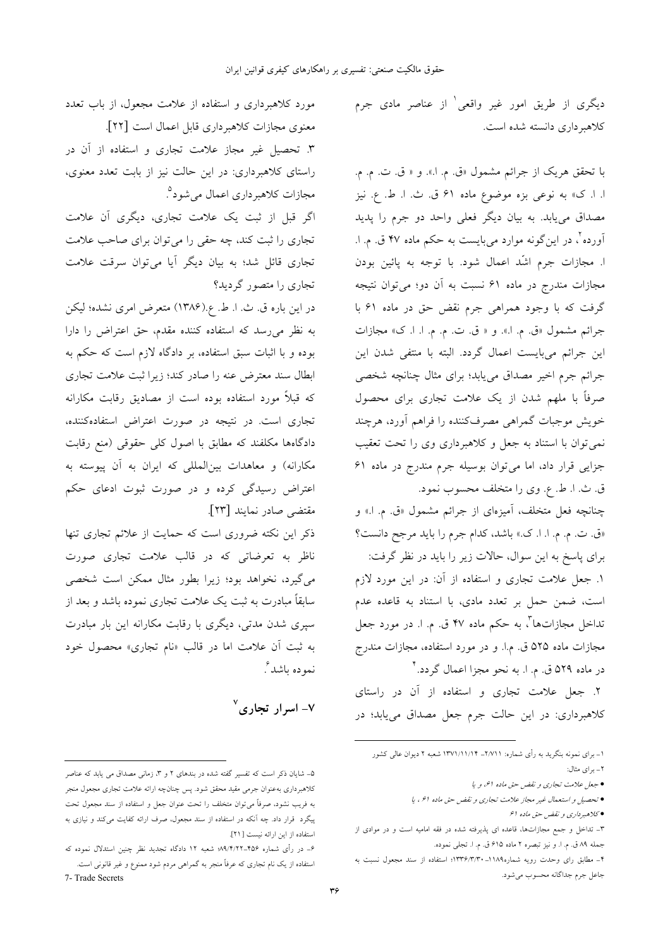دیگری از طریق امور غیر واقعی ٰ از عناصر مادی جرم كلاهبرداري دانسته شده است.

با تحقق هريک از جرائم مشمول «ق. م. ا.». و « ق. ت. م. م. ا. ا. ک» به نوعی بزه موضوع ماده ۶۱ ق. ث. ا. ط. ع. نیز مصداق می،یابد. به بیان دیگر فعلی واحد دو جرم را پدید آورده <sup>ت</sup>، در اینگونه موارد میبایست به حکم ماده ۴۷ ق. م. ا. ا. مجازات جرم اشَّد اعمال شود. با توجه به پائین بودن مجازات مندرج در ماده ۶۱ نسبت به آن دو؛ میتوان نتیجه گرفت که با وجود همراهی جرم نقض حق در ماده ۶۱ با جرائم مشمول «ق. م. ا.». و « ق. ت. م. م. ا. ا. ک» مجازات این جرائم میبایست اعمال گردد. البته با منتفی شدن این جرائم جرم اخیر مصداق می یابد؛ برای مثال چنانچه شخصی صرفاً با ملهم شدن از یک علامت تجاری برای محصول خویش موجبات گمراهی مصرفکننده را فراهم آورد، هرچند نمی توان با استناد به جعل و کلاهبرداری وی را تحت تعقیب جزایی قرار داد، اما میتوان بوسیله جرم مندرج در ماده ۶۱ ق ث. ا. ط. ع. وي را متخلف محسوب نمود.

چنانچه فعل متخلف، آمیزهای از جرائم مشمول «ق. م. ا.» و «ق. ت. م. م. ا. ا. ک.» باشد، کدام جرم را باید مرجح دانست؟

برای پاسخ به این سوال، حالات زیر را باید در نظر گرفت: ۱. جعل علامت تجاری و استفاده از آن: در این مورد لازم است، ضمن حمل بر تعدد مادی، با استناد به قاعده عدم تداخل مجازاتها ٌ، به حکم ماده ۴۷ ق. م. ا. در مورد جعل مجازات ماده ۵۲۵ ق. م.ا. و در مورد استفاده، مجازات مندرج در ماده ۵۲۹ ق. م. ا. به نحو مجزا اعمال گردد.\*

۲. جعل علامت تجاری و استفاده از آن در راستای کلاهبرداری: در این حالت جرم جعل مصداق مییابد؛ در

مورد کلاهبرداری و استفاده از علامت مجعول، از باب تعدد معنوى مجازات كلاهبرداري قابل اعمال است [٢٢]. ۳. تحصیل غیر مجاز علامت تجاری و استفاده از آن در راستای کلاهبرداری: در این حالت نیز از بابت تعدد معنوی، مجازات کلاهبرداری اعمال میشود<sup>۵</sup>.

اگر قبل از ثبت یک علامت تجاری، دیگری آن علامت تجاری را ثبت کند، چه حقی را می توان برای صاحب علامت تجاری قائل شد؛ به بیان دیگر آیا میتوان سرقت علامت تجاری را متصور گردید؟

در این باره ق ث. ا. ط. ع.(۱۳۸۶) متعرض امری نشده؛ لیکن به نظر میرسد که استفاده کننده مقدم، حق اعتراض را دارا بوده و با اثبات سبق استفاده، بر دادگاه لازم است که حکم به ابطال سند معترض عنه را صادر کند؛ زیرا ثبت علامت تجاری که قبلاً مورد استفاده بوده است از مصادیق رقابت مکارانه تجاری است. در نتیجه در صورت اعتراض استفادهکننده، دادگاهها مکلفند که مطابق با اصول کلی حقوقی (منع رقابت مکارانه) و معاهدات بینالمللی که ایران به آن پیوسته به اعتراض رسیدگی کرده و در صورت ثبوت ادعای حکم مقتضى صادر نمايند [٢٣].

ذکر این نکته ضروری است که حمایت از علائم تجاری تنها .<br>ناظر به تعرضاتی که در قالب علامت تجاری صورت می گیرد، نخواهد بود؛ زیرا بطور مثال ممکن است شخصی سابقاً مبادرت به ثبت یک علامت تجاری نموده باشد و بعد از سپری شدن مدتی، دیگری با رقابت مکارانه این بار مبادرت به ثبت آن علامت اما در قالب «نام تجاری» محصول خود نموده باشد ً.

 $^{\vee}$ – اسرار تجاری $^{\vee}$ 

۱– برای نمونه بنگرید به رأی شماره: ۱/۷۱۱– ۱۳۷۱/۱۱/۱۴ شعبه ۲ دیوان عالی کشور

٢\_ براي مثال:

<sup>•</sup> جعل علامت تجاري و نقض حق ماده اع، ويا

<sup>•</sup> تحصيل واستعمال غير مجاز علامت تجاري و نقض حق ماده ۶۱، يا

<sup>•</sup> كلاهبرداري و نقض حق ماده ۶۱

۳ـ تداخل و جمع مجازاتها، قاعده ای پذیرفته شده در فقه امامیه است و در موادی از جمله ٨٩ ق. م. ا. و نيز تبصره ٢ ماده ٤١٥ ق. م. ا. تجلي نموده.

۴– مطابق رای وحدت رویه شماره۱۱۸۹–۱۳۳۶/۳/۳۰؛ استفاده از سند مجعول نسبت به جاعل جرم جداگانه محسوب مي شود.

۵– شایان ذکر است که تفسیر گفته شده در بندهای ۲ و ۳، زمانی مصداق می یابد که عناصر .<br>کلاهبرداری بهعنوان جرمی مقید محقق شود. پس چنانچه ارائه علامت تجاری مجعول منجر به فریب نشود، صرفاً می توان متخلف را تحت عنوان جعل و استفاده از سند مجعول تحت پیگرد قرار داد. چه آنکه در استفاده از سند مجعول، صرف ارائه کفایت میکند و نیازی به استفاده از این ارائه نیست [۲۱].

۶– در رأی شماره ۴۵۶–۸۹/۴/۲۲ شعبه ۱۲ دادگاه تجدید نظر چنین استدلال نموده که استفاده از یک نام تجاری که عرفاً منجر به گمراهی مردم شود ممنوع و غیر قانونی است.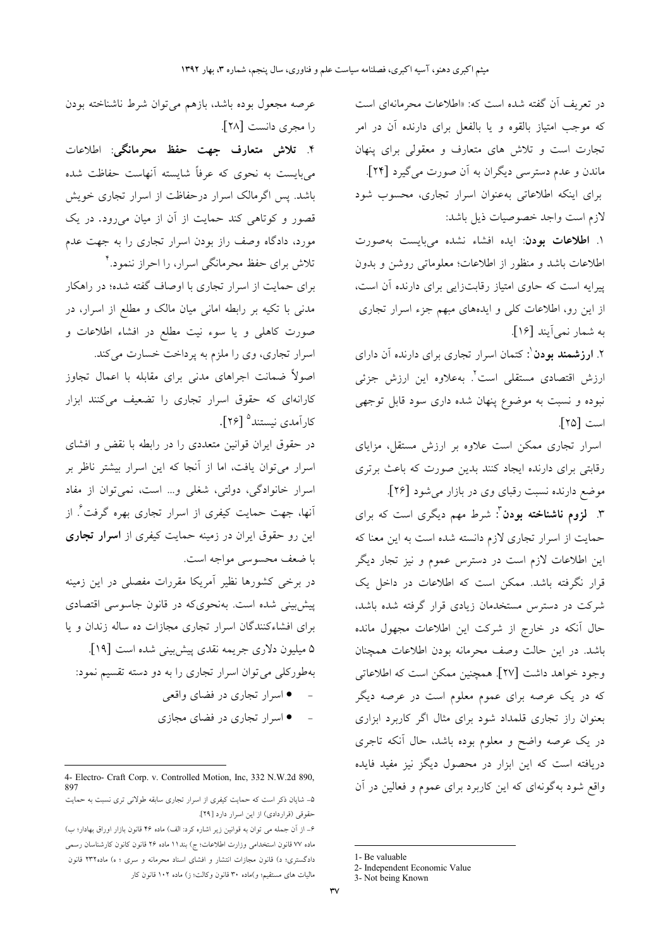در تعریف آن گفته شده است که: «اطلاعات محرمانهای است که موجب امتیاز بالقوه و یا بالفعل برای دارنده آن در امر تجارت است و تلاش های متعارف و معقول<sub>ی</sub> برای پنهان ماندن و عدم دسترسی دیگران به آن صورت می گیرد [۲۴]. برای اینکه اطلاعاتی بهعنوان اسرار تجاری، محسوب شود لازم است واجد خصوصيات ذيل باشد:

۱. اطلاعات بودن: ایده افشاء نشده میبایست بهصورت اطلاعات باشد و منظور از اطلاعات؛ معلوماتی روشن و بدون پیرایه است که حاوی امتیاز رقابتزایی برای دارنده آن است، از این رو، اطلاعات کلی و ایدههای مبهم جزء اسرار تجاری به شمار نمي آيند [۱۶].

۲. **ارزشمند بودن** <sup>۱</sup>: کتمان اسرار تجاری برای دارنده آن دارای ارزش اقتصادی مستقلی است<sup>٬</sup>. بهعلاوه این ارزش جزئی .<br>نبوده و نسبت به موضوع پنهان شده داری سود قابل توجهی است [۲۵].

اسرار تجاری ممکن است علاوه بر ارزش مستقل، مزایای رقابتی برای دارنده ایجاد کنند بدین صورت که باعث برتری موضع دارنده نسبت رقبای وی در بازار میشود [۲۶].

۳. **لزوم ناشناخته بودن**<sup>۳</sup>: شرط مهم دیگری است که برای حمایت از اسرار تجاری لازم دانسته شده است به این معنا که این اطلاعات لازم است در دسترس عموم و نیز تجار دیگر قرار نگرفته باشد. ممکن است که اطلاعات در داخل یک شرکت در دسترس مستخدمان زیادی قرار گرفته شده باشد، حال آنکه در خارج از شرکت این اطلاعات مجهول مانده باشد. در این حالت وصف محرمانه بودن اطلاعات همچنان وجود خواهد داشت [٢٧]. همچنین ممکن است که اطلاعاتی که در یک عرصه برای عموم معلوم است در عرصه دیگر بعنوان راز تجارى قلمداد شود براى مثال اگر كاربرد ابزارى در یک عرصه واضح و معلوم بوده باشد، حال آنکه تاجری دریافته است که این ابزار در محصول دیگز نیز مفید فایده واقع شود بهگونهای که این کاربرد برای عموم و فعالین در آن

1- Be valuable

عرصه مجعول بوده باشد، بازهم میتوان شرط ناشناخته بودن را مجري دانست [۲۸].

۴. تلاش متعارف جهت حفظ محرمانگي: اطلاعات میبایست به نحوی که عرفاً شایسته آنهاست حفاظت شده باشد. پس اگرمالک اسرار درحفاظت از اسرار تجاری خویش قصور و کوتاهی کند حمایت از آن از میان میرود. در یک مورد، دادگاه وصف راز بودن اسرار تجاری را به جهت عدم تلاش برای حفظ محرمانگی اسرار، را احراز ننمود.

برای حمایت از اسرار تجاری با اوصاف گفته شده؛ در راهکار مدنی با تکیه بر رابطه امانی میان مالک و مطلع از اسرار، در صورت کاهلی و یا سوء نیت مطلع در افشاء اطلاعات و اسرار تجاري، وي را ملزم به پرداخت خسارت مي كند.

اصولاً ضمانت اجراهای مدنی برای مقابله با اعمال تجاوز کارانهای که حقوق اسرار تجاری را تضعیف میکنند ابزار كارآمدي نيستند<sup>0</sup> [۲۶].

در حقوق ایران قوانین متعددی را در رابطه با نقض و افشای اسرار می توان یافت، اما از آنجا که این اسرار بیشتر ناظر بر اسرار خانوادگی، دولتی، شغلی و… است، نمیتوان از مفاد انها، جهت حمایت کیفری از اسرار تجاری بهره گرفت<sup>۶</sup>. از این رو حقوق ایران در زمینه حمایت کیفری از **اسرار تجاری** با ضعف محسوسی مواجه است.

در برخی کشورها نظیر آمریکا مقررات مفصلی در این زمینه پیش بینی شده است. بهنحوی که در قانون جاسوسی اقتصادی برای افشاءکنندگان اسرار تجاری مجازات ده ساله زندان و یا ۵ میلیون دلاری جریمه نقدی پیش بینی شده است [۱۹]. بهطورکلی می توان اسرار تجاری را به دو دسته تقسیم نمود:

- اسرار تجاري در فضاي واقعي
- ● اسرار تجاری در فضای مجازی

<sup>2-</sup> Independent Economic Value

<sup>3-</sup> Not being Known

<sup>4-</sup> Electro- Craft Corp. v. Controlled Motion, Inc, 332 N.W.2d 890, 897

۵- شایان ذکر است که حمایت کیفری از اسرار تجاری سابقه طولانی تری نسبت به حمایت حقوقی (قراردادی) از این اسرار دارد [۲۹].

۶\_ از آن جمله می توان به قوانین زیر اشاره کرد: الف) ماده ۴۶ قانون بازار اوراق بهادار؛ ب) ماده ٧٧ قانون استخدامی وزارت اطلاعات؛ ج) بند١١ ماده ٢۶ قانون كانون كارشناسان رسمی دادگستری؛ د) قانون مجازات انتشار و افشای اسناد محرمانه و سری ؛ ه) ماده۲۳۲ قانون مالیات های مستقیم؛ و)ماده ۳۰ قانون وکالت؛ ز) ماده ۱۰۲ قانون کار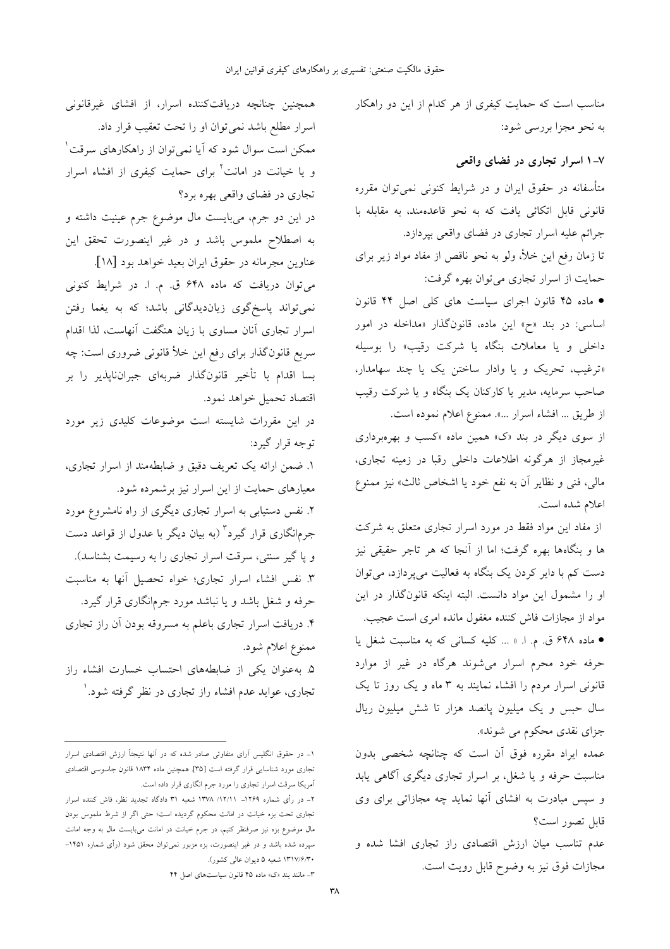همچنین چنانچه دریافتکننده اسرار، از افشای غیرقانونی اسرار مطلع باشد نمی توان او را تحت تعقیب قرار داد. ممکن است سوال شود که آیا نمی توان از راهکارهای سرقت ٰ و یا خیانت در امانت<sup>۲</sup> برای حمایت کیفری از افشاء اسرار تجاري در فضاي واقعي بهره برد؟ در این دو جرم، میبایست مال موضوع جرم عینیت داشته و به اصطلاح ملموس باشد و در غیر اینصورت تحقق این عناوين مجرمانه در حقوق ايران بعيد خواهد بود [١٨]. میتوان دریافت که ماده ۶۴۸ ق. م. ا. در شرایط کنونی نمیتواند پاسخگوی زیاندیدگانی باشد؛ که به یغما رفتن اسرار تجاری آنان مساوی با زیان هنگفت آنهاست، لذا اقدام سریع قانونگذار برای رفع این خلأ قانونی ضروری است: چه بسا اقدام با تأخير قانونگذار ضربهاي جبرانناپذير را بر اقتصاد تحميل خواهد نمود. در این مقررات شایسته است موضوعات کلیدی زیر مورد توجه قرار گیرد: ١. ضمن ارائه يک تعريف دقيق و ضابطهمند از اسرار تجارى، معیارهای حمایت از این اسرار نیز برشمرده شود. ۲. نفس دستیابی به اسرار تجاری دیگری از راه نامشروع مورد جرمانگاری قرار گیرد<sup>۳</sup> (به بیان دیگر با عدول از قواعد دست و یا گیر سنتی، سرقت اسرار تجاری را به رسیمت بشناسد). ۳. نفس افشاء اسرار تجارى؛ خواه تحصيل آنها به مناسبت حرفه و شغل باشد و یا نباشد مورد جرمانگاری قرار گیرد. ۴. دریافت اسرار تجاری باعلم به مسروقه بودن آن راز تجاری ممنوع اعلام شود.

۵. به عنوان یکی از ضابطههای احتساب خسارت افشاء راز تجاری، عواید عدم افشاء راز تجاری در نظر گرفته شود.` مناسب است که حمایت کیفری از هر کدام از این دو راهکار به نحو مجزا بررسي شود:

#### ۷–۱ اسرار تجاری در فضای واقعی

متأسفانه در حقوق ایران و در شرایط کنونی نمیتوان مقرره قانونی قابل اتکائی یافت که به نحو قاعدهمند، به مقابله با جرائم علیه اسرار تجاری در فضای واقعی بپردازد. تا زمان رفع این خلأ، ولو به نحو ناقص از مفاد مواد زیر برای حمایت از اسرار تجاری می توان بهره گرفت:

• ماده ۴۵ قانون اجرای سیاست های کلی اصل ۴۴ قانون اساسی: در بند «ح» این ماده، قانونگذار «مداخله در امور داخلی و یا معاملات بنگاه یا شرکت رقیب» را بوسیله «ترغیب، تحریک و یا وادار ساختن یک یا چند سهامدار، صاحب سرمایه، مدیر یا کارکنان یک بنگاه و یا شرکت رقیب از طريق ... افشاء اسرار ...». ممنوع اعلام نموده است.

از سوی دیگر در بند «ک» همین ماده «کسب و بهرهبرداری غیرمجاز از هرگونه اطلاعات داخلی رقبا در زمینه تجاری، مالی، فنی و نظایر آن به نفع خود یا اشخاص ثالث» نیز ممنوع اعلام شده است.

از مفاد این مواد فقط در مورد اسرار تجاری متعلق به شرکت ها و بنگاهها بهره گرفت؛ اما از آنجا که هر تاجر حقیقی نیز دست کم با دایر کردن یک بنگاه به فعالیت می پردازد، می توان او را مشمول این مواد دانست. البته اینکه قانونگذار در این مواد از مجازات فاش کننده مغفول مانده امری است عجیب.

• ماده ۶۴۸ ق. م. ا. « ... كليه كسانى كه به مناسبت شغل يا حرفه خود محرم اسرار میشوند هرگاه در غیر از موارد قانونی اسرار مردم را افشاء نمایند به ۳ ماه و یک روز تا یک سال حبس و یک میلیون پانصد هزار تا شش میلیون ریال جزای نقدی محکوم می شوند».

عمده ایراد مقرره فوق آن است که چنانچه شخصی بدون مناسبت حرفه و یا شغل، بر اسرار تجاری دیگری آگاهی یابد و سپس مبادرت به افشای آنها نماید چه مجازاتی برای وی قابل تصور است؟

عدم تناسب میان ارزش اقتصادی راز تجاری افشا شده و مجازات فوق نيز به وضوح قابل رويت است.

۱\_ در حقوق انگلیس آرای متفاوتی صادر شده که در آنها نتیجتاً ارزش اقتصادی اسرار تجاری مورد شناسایی قرار گرفته است [۳۵]. همچنین ماده ۱۸۳۴ قانون جاسوسی اقتصادی أمريكا سرقت اسرار تجاري را مورد جرم انگاري قرار داده است.

۲\_ در رأى شماره ۱۲۶۹\_ ۱۲/۱۱/ ۱۳۷۸ شعبه ۳۱ دادگاه تجدید نظر، فاش کننده اسرار .<br>تجاری تحت بزه خیانت در امانت محکوم گردیده است؛ حتی اگر از شرط ملموس بودن مال موضوع بزه نیز صرفنظر کنیم، در جرم خیانت در امانت میبایست مال به وجه امانت سپرده شده باشد و در غیر اینصورت، بزه مزبور نمیتوان محقق شود (رأی شماره ۱۴۵۱– ۱۳۱۷/۶/۳۰ شعبه ۵ دیوان عالی کشور).

٣- مانند بند «ک» ماده ۴۵ قانون سیاستهای اصل ۴۴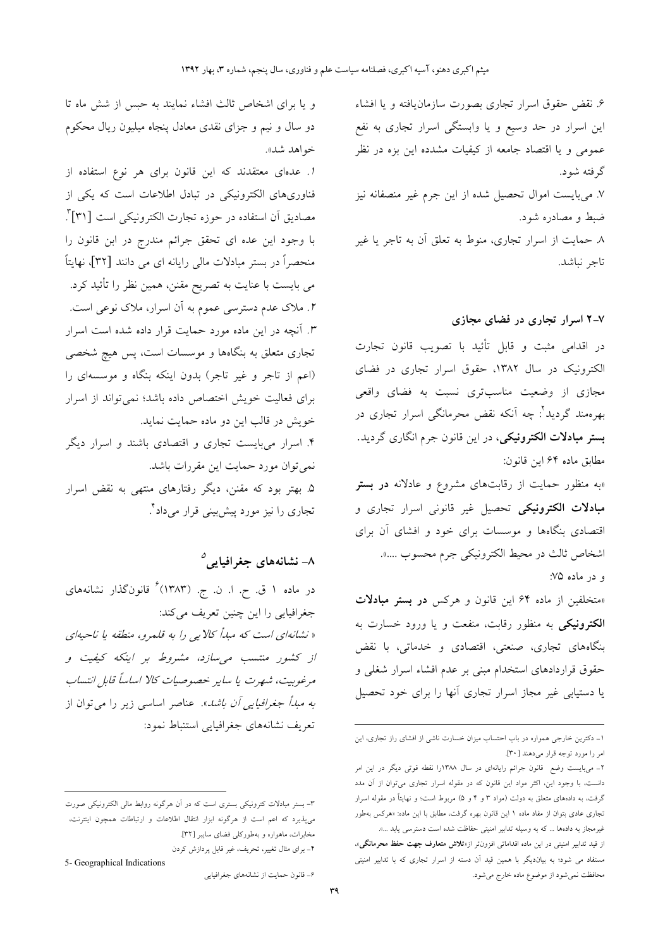۶. نقض حقوق اسرار تجارى بصورت سازمان<code>يافته و یا افشاء</code> این اسرار در حد وسیع و یا وابستگی اسرار تجاری به نفع عمومی و یا اقتصاد جامعه از کیفیات مشدده این بزه در نظر گرفته شود. ۷. میبایست اموال تحصیل شده از این جرم غیر منصفانه نیز ضبط و مصادره شود. ٨ حمايت از اسرار تجارى، منوط به تعلق آن به تاجر يا غير تاجر نباشد.

#### ۷–۲ اسرار تجاری در فضای مجازی

در اقدامی مثبت و قابل تأئید با تصویب قانون تجارت الکترونیک در سال ۱۳۸۲، حقوق اسرار تجاری در فضای مجازی از وضعیت مناسبتری نسبت به فضای واقعی بهرهمند گردید<sup>؟</sup>: چه اَنکه نقض محرمانگی اسرار تجاری در بستر مبادلات الکترونیکی، در این قانون جرم انگاری گردید. مطابق ماده ۶۴ این قانون:

«به منظور حمایت از رقابتهای مشروع و عادلانه **در بستر** مبادلات الکترونیکی تحصیل غیر قانونی اسرار تجاری و اقتصادی بنگاهها و موسسات برای خود و افشای آن برای اشخاص ثالث در محيط الكترونيكي جرم محسوب ....».

و در ماده ۷۵:

«متخلفین از ماده ۶۴ این قانون و هرکس **در بستر مبادلات** الکترونیکی به منظور رقابت، منفعت و یا ورود خسارت به بنگاههای تجاری، صنعتی، اقتصادی و خدماتی، با نقض حقوق قراردادهای استخدام مبنی بر عدم افشاء اسرار شغلی و یا دستیابی غیر مجاز اسرار تجاری آنها را برای خود تحصیل

و یا برای اشخاص ثالث افشاء نمایند به حبس از شش ماه تا دو سال و نیم و جزای نقدی معادل پنجاه میلیون ریال محکوم خواهد شد».

ا. عدمای معتقدند که این قانون برای هر نوع استفاده از فناوریهای الکترونیکی در تبادل اطلاعات است که یکی از مصاديق أن استفاده در حوزه تجارت الكترونيكي است [٣١]". با وجود این عده ای تحقق جرائم مندرج در ابن قانون را منحصراً در بستر مبادلات مالی رایانه ای می دانند [۳۲]، نهایتاً می بایست با عنایت به تصریح مقنن، همین نظر را تأئید کرد. ۲. ملاک عدم دسترسی عموم به آن اسرار، ملاک نوعی است. ۳. آنچه در این ماده مورد حمایت قرار داده شده است اسرار ۔<br>تجاری متعلق به بنگاهها و موسسات است، پس هیچ شخصی (اعم از تاجر و غیر تاجر) بدون اینکه بنگاه و موسسهای را برای فعالیت خویش اختصاص داده باشد؛ نمی تواند از اسرار خویش در قالب این دو ماده حمایت نماید. ۴. اسرار میبایست تجاری و اقتصادی باشند و اسرار دیگر نمي توان مورد حمايت اين مقررات باشد. ۵. بهتر بود که مقنن، دیگر رفتارهای منتهی به نقض اسرار تجاری را نیز مورد پیش<sub>ا</sub>بینی قرار میداد<sup>۴</sup>.

### ۸- نشانههای جغرافیایی<sup>۵</sup>

در ماده ۱ ق. ح. ا. ن. ج. (۱۳۸۳) ٔ قانونگذار نشانههای جغرافیایی را این چنین تعریف میکند: « نشانهای است که مبدأ کالایی را به قلمرو، منطقه یا ناحیهای از کشور منتسب می سازد، مشروط بر اینکه کیفیت و مرغوبيت، شهرت يا ساير خصوصيات كالا اساساً قابل انتساب *به مبدأ جغرافیایی أن باشد*». عناصر اساسی زیر را می توان از تعريف نشانههاي جغرافيايي استنباط نمود:

5- Geographical Indications

۶- قانون حمایت از نشانههای جغرافیایی

۱- دکترین خارجی همواره در باب احتساب میزان خسارت ناشی از افشای راز تجاری، این امر را مورد توجه قرار مي دهند [٣٠].

۲– میبایست وضع قانون جرائم رایانهای در سال ۱۳۸۸را نقطه قوتی دیگر در این امر دانست، با وجود این، اکثر مواد این قانون که در مقوله اسرار تجاری میتوان از آن مدد گرفت، به دادههای متعلق به دولت (مواد ۳ و ۴ و ۵) مربوط است؛ و نهایتاً در مقوله اسرار تجاری عادی بتوان از مفاد ماده ۱ این قانون بهره گرفت، مطابق با این ماده: «هرکس بهطور غیرمجاز به دادهها ... که به وسیله تدابیر امنیتی حفاظت شده است دسترسی یابد ...».

از قید تدابیر امنیتی در این ماده اقداماتی افزون تر از«**تلاش متعارف جهت حفظ محرمانگی**»، .<br>مستفاد می شود؛ به بیاندیگر با همین قید آن دسته از اسرار تجاری که با تدابیر امنیتی محافظت نمیشود از موضوع ماده خارج میشود.

۳- بستر مبادلات کترونیکی بستری است که در آن هرگونه روابط مالی الکترونیکی صورت میپذیرد که اعم است از هرگونه ابزار انتقال اطلاعات و ارتباطات همچون اینترنت، مخابرات، ماهواره و بهطورکلی فضای سایبر [۳۲]. ۴- برای مثال تغییر، تحریف، غیر قابل پردازش کردن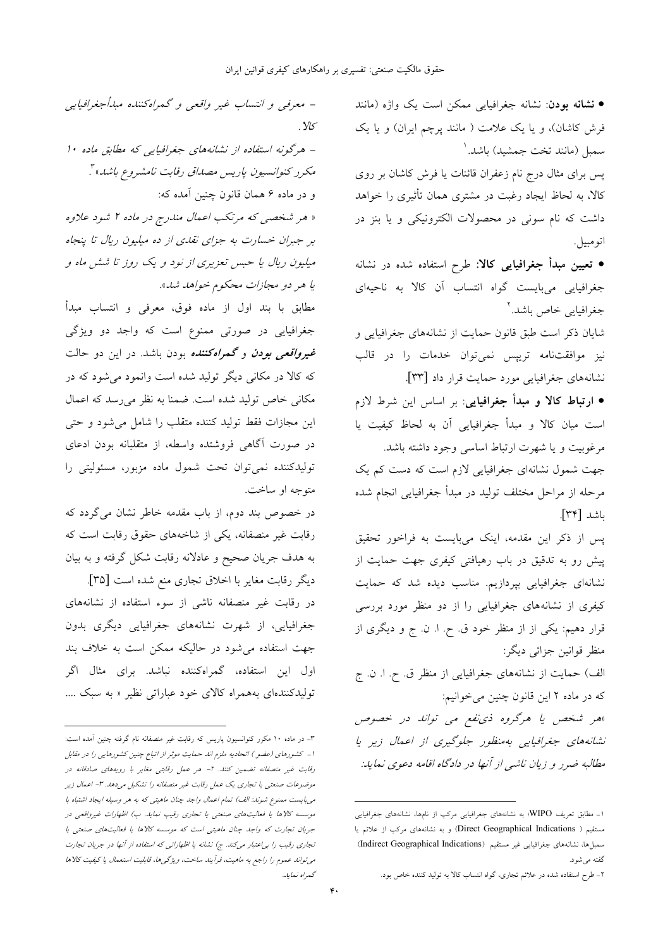• نشانه بودن: نشانه جغرافیایی ممکن است یک واژه (مانند فرش کاشان)، و یا یک علامت ( مانند پرچم ایران) و یا یک سمبل (مانند تخت جمشید) باشد. ا پس برای مثال درج نام زعفران قائنات یا فرش کاشان بر روی کالا، به لحاظ ایجاد رغبت در مشتری همان تأثیری را خواهد داشت که نام سونی در محصولات الکترونیکی و یا بنز در اتو مبيل ِ. • تعیین مبدأ جغرافیایی کالا: طرح استفاده شده در نشانه جغرافیایی میبایست گواه انتساب آن کالا به ناحیهای جغرافيايي خاص باشد.<sup>۲</sup> شایان ذکر است طبق قانون حمایت از نشانههای جغرافیایی و نيز موافقت**نامه ترييس نمي توان خدمات را در قال**ب نشانههای جغرافیایی مورد حمایت قرار داد [۳۳]. • ارتباط كالا و مبدأ جغرافيايي: بر اساس اين شرط لازم است ميان كالا و مبدأ جغرافيايي آن به لحاظ كيفيت يا مرغوبیت و یا شهرت ارتباط اساسی وجود داشته باشد. جهت شمول نشانهای جغرافیایی لازم است که دست کم یک

مرحله از مراحل مختلف توليد در مبدأ جغرافيايي انجام شده باشد [٣۴]. یس از ذکر این مقدمه، اینک میبایست به فراخور تحقیق

پیش رو به تدقیق در باب رهیافتی کیفری جهت حمایت از نشانهای جغرافیایی بپردازیم. مناسب دیده شد که حمایت کیفری از نشانههای جغرافیایی را از دو منظر مورد بررسی قرار دهیم: یکی از از منظر خود ق ح. ا. ن. ج و دیگری از منظر قوانين جزائي ديگر:

الف) حمایت از نشانههای جغرافیایی از منظر ق ح ا. ن ج که در ماده ۲ این قانون چنین می خوانیم:

«هر شخص یا هرگروه ذی *نفع می توانا- در خصوص* نشانههای جغرافیایی بهمنظور جلوگیری از اعمال زیر یا مطالبه ضرر و زیان ناشبی از آنها در دادگاه اقامه دعوی نماید:

 $y_{5}$ - هرگونه استفاده از نشانههای جغرافیایی که مطابق ماده ۱۰ مكرر كنوانسيون باريس مصداق رقابت نامشروع باشد»". و در ماده ۶ همان قانون چنین آمده که: « هر شخصی که مرتکب اعمال مندرج در ماده ۲ شود علاوه بر جبران خسارت به جزای نقلهی از ده میلیون ریال تا پنجاه میلیون ریال یا حبس تعزیری از نود و یک روز تا شش ماه و يا هر دو مجازات محكوم خواهد شد». مطابق با بند اول از ماده فوق، معرفی و انتساب مبدأ

- معرفیی و انتساب غیر واقعی و گمراهکننده مبدأجغرافیایی

جغرافیایی در صورتی ممنوع است که واجد دو ویژگی *غیرواقعی بودن و گمراهکننده* بودن باشد. در این دو حالت که کالا در مکانی دیگر تولید شده است وانمود می شود که در مکانی خاص تولید شده است. ضمنا به نظر میرسد که اعمال این مجازات فقط تولید کننده متقلب را شامل میشود و حتی در صورت آگاهی فروشتده واسطه، از متقلبانه بودن ادعای تولیدکننده نمیتوان تحت شمول ماده مزبور، مسئولیتی را متوجه او ساخت.

در خصوص بند دوم، از باب مقدمه خاطر نشان میگردد که رقابت غیر منصفانه، یکی از شاخههای حقوق رقابت است که به هدف جریان صحیح و عادلانه رقابت شکل گرفته و به بیان

ديگر رقابت مغاير با اخلاق تجارى منع شده است [٣٥]. در رقابت غیر منصفانه ناشی از سوء استفاده از نشانههای جغرافیایی، از شهرت نشانههای جغرافیایی دیگری بدون جهت استفاده می شود در حالیکه ممکن است به خلاف بند اول این استفاده، گمراهکننده نباشد. برای مثال اگر تولیدکنندهای بههمراه کالای خود عباراتی نظیر « به سبک ....

۱- مطابق تعریف WIPO؛ به نشانههای جغرافیایی مرکب از نامها، نشانههای جغرافیایی مستقیم ( Direct Geographical Indications) و به نشانههای مرکب از علائم یا سمبلها، نشانههای جغرافیایی غیر مستقیم (Indirect Geographical Indications) گفته میشود.

۲- طرح استفاده شده در علائم تجاری، گواه انتساب کالا به تولید کننده خاص بود.

۳- در ماده ۱۰ مکرر کنوانسیون پاریس که رقابت غیر منصفانه نام گرفته چنین آمده است: 1- كشورهاى (عضو) اتحاديه ملزم اند حمايت موثر از اتباع چنين كشورهايي را در مقابل رقابت غیر منصفانه تضمین کنند. ۲- هر عمل رقابتی مغایر با رویههای صادقانه در موضوعات صنعتی یا تجاری یک عمل رقابت غیر منصفانه را تشکیل میدهد. ۳- اعمال زیر می بایست ممنوع شوند: الف) تمام اعمال واجد چنان ماهیتی که به هر وسیله ایجاد اشتباه با موسسه کالاها یا فعالیتهای صنعتی یا تجاری رقیب نماید. ب) اظهارات غیرواقعی در جریان تجارت که واجد چنان ماهیتی است که موسسه کالاها یا فعالیتهای صنعتی یا تجاری رقیب را براعتبار میکند. ج) نشانه یا اظهاراتی که استفاده از آنها در جریان تجارت می تواند عموم را راجع به ماهیت، فرآیند ساخت، ویژگی ها، قابلیت استعمال یا کیفیت کالاها گىداە نىلايلە.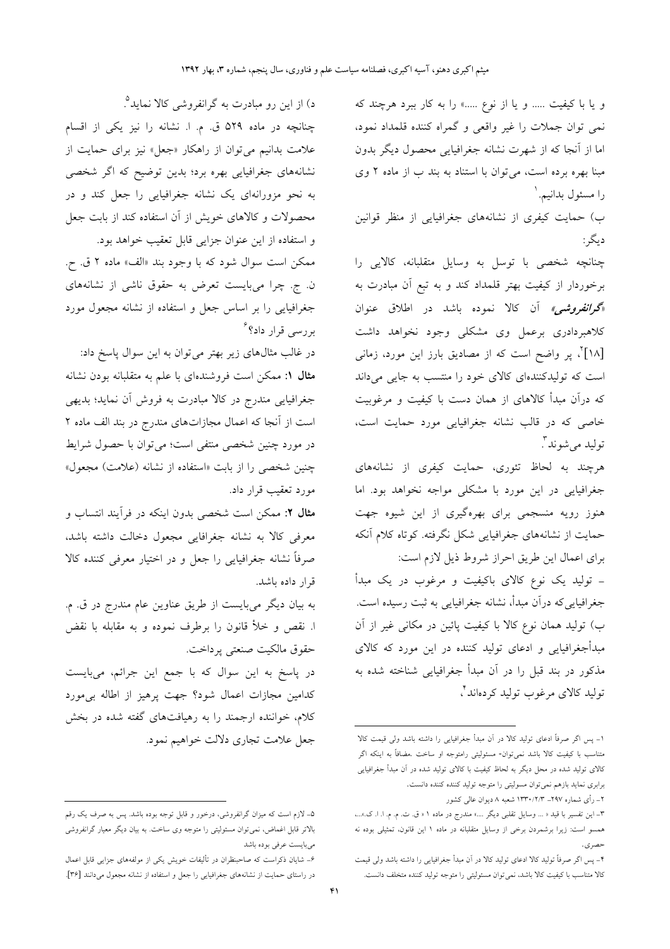و یا با کیفیت ..... و یا از نوع .....» را به کار ببرد هرچند که نمی توان جملات را غیر واقعی و گمراه کننده قلمداد نمود، اما از آنجا که از شهرت نشانه جغرافیایی محصول دیگر بدون مبنا بهره برده است، می توان با استناد به بند ب از ماده ۲ وی را مسئول بدانيم. `

ب) حمایت کیفری از نشانههای جغرافیایی از منظر قوانین ديگر :

چنانچه شخصی با توسل به وسایل متقلبانه، کالای<sub>م</sub> را برخوردار از کیفیت بهتر قلمداد کند و به تبع آن مبادرت به «*گرانفروشی»* آن کالا نموده باشد در اطلاق عنوان کلاهبردادری برعمل وی مشکلی وجود نخواهد داشت [۱۸]<sup>۲</sup>، پر واضح است که از مصادیق بارز این مورد، زمان<sub>ی</sub> است که تولیدکنندهای کالای خود را منتسب به جایی میداند که درآن مبدأ کالاهای از همان دست با کیفیت و مرغوبیت خاصی که در قالب نشانه جغرافیایی مورد حمایت است، توليد مي شوند آ.

هرچند به لحاظ تئوری، حمایت کیفری از نشانههای جغرافیایی در این مورد با مشکلی مواجه نخواهد بود. اما هنوز رویه منسجمی برای بهرهگیری از این شیوه جهت حمایت از نشانههای جغرافیایی شکل نگرفته. کوتاه کلام آنکه براي اعمال اين طريق احراز شروط ذيل لازم است:

– تولید یک نوع کالای باکیفیت و مرغوب در یک مبدأ جغرافیاییِکه درآن مبدأ، نشانه جغرافیایی به ثبت رسیده است. ب) تولید همان نوع کالا با کیفیت پائین در مکانی غیر از آن مبدأجغرافیایی و ادعای تولید کننده در این مورد که کالای مذکور در بند قبل را در آن مبدأ جغرافیایی شناخته شده به تولید کالای مرغوب تولید کردهاند ٔ،

۲\_ رأى شماره ۲۹۷\_ ۲۳۳۰/۲/۳ شعبه ۸ ديوان عالى كشور

د) از این رو مبادرت به گرانفروشی کالا نماید<sup>۹</sup>. چنانچه در ماده ۵۲۹ ق. م. ا. نشانه را نیز یکی از اقسام علامت بدانیم می توان از راهکار «جعل» نیز برای حمایت از .<br>نشانههای جغرافیایی بهره برد؛ بدین توضیح که اگر شخصی به نحو مزورانهای یک نشانه جغرافیایی را جعل کند و در محصولات و كالاهاى خويش از آن استفاده كند از بابت جعل و استفاده از این عنوان جزایی قابل تعقیب خواهد بود. ممكن است سوال شود كه با وجود بند «الف» ماده ٢ ق. ح. ن. ج. چرا میبایست تعرض به حقوق ناشی از نشانههای

جغرافیایی را بر اساس جعل و استفاده از نشانه مجعول مورد بررسی قرار داد؟<sup>۶</sup>

در غالب مثالهای زیر بهتر میتوان به این سوال پاسخ داد: مثال ۱: ممکن است فروشندهای با علم به متقلبانه بودن نشانه جغرافیایی مندرج در کالا مبادرت به فروش آن نماید؛ بدیهی است از آنجا که اعمال مجازاتهای مندرج در بند الف ماده ۲ در مورد چنین شخصی منتفی است؛ میتوان با حصول شرایط چنین شخصی را از بابت «استفاده از نشانه (علامت) مجعول» مورد تعقیب قرار داد.

مثال ۲: ممکن است شخصی بدون اینکه در فرآیند انتساب و معرفی کالا به نشانه جغرافایی مجعول دخالت داشته باشد، صرفاً نشانه جغرافیایی را جعل و در اختیار معرفی کننده کالا قرار داده باشد.

به بیان دیگر میبایست از طریق عناوین عام مندرج در ق. م. ا. نقص و خلأ قانون را برطرف نموده و به مقابله با نقض حقوق مالكيت صنعتى يرداخت.

در پاسخ به این سوال که با جمع این جرائم، میبایست كدامين مجازات اعمال شود؟ جهت پرهيز از اطاله بىمورد کلام، خواننده ارجمند را به رهیافتهای گفته شده در بخش جعل علامت تجاري دلالت خواهيم نمود.

١- پس اگر صرفاً ادعای تولید کالا در اَن مبدأ جغرافیایی را داشته باشد ولی قیمت کالا متناسب با کیفیت کالا باشد نمیتوان- مسئولیتی رامتوجه او ساخت .مضافاً به اینکه اگر کالای تولید شده در محل دیگر به لحاظ کیفیت با کالای تولید شده در آن مبدأ جغرافیایی برابري نمايد بازهم نمي توان مسوليتي را متوجه توليد كننده كننده دانست.

٣- اين تفسير با قيد « ... وسايل تقلبي ديگر ....» مندرج در ماده ١ « ق. ت. م. م. ا. ا. ک.»...، همسو است: زیرا برشمردن برخی از وسایل متقلبانه در ماده ۱ این قانون، تمثیلی بوده نه حصري.

۴- پس اگر صرفاً تولید کالا ادعای تولید کالا در آن مبدأ جغرافیایی را داشته باشد ولی قیمت كالا متناسب با كيفيت كالا باشد، نمي توان مسئوليتي را متوجه توليد كننده متخلف دانست.

۵– لازم است که میزان گرانفروشی، درخور و قابل توجه بوده باشد. پس به صرف یک رقم بالاتر قابل اغماض، نمی توان مسئولیتی را متوجه وی ساخت. به بیان دیگر معیار گرانفروشی مىبايست عرفى بوده باشد

۶– شایان ذکراست که صاحبنظران در تألیفات خویش یکی از مولفههای جزایی قابل اعمال در راستای حمایت از نشانههای جغرافیایی را جعل و استفاده از نشانه مجعول میدانند [۳۶].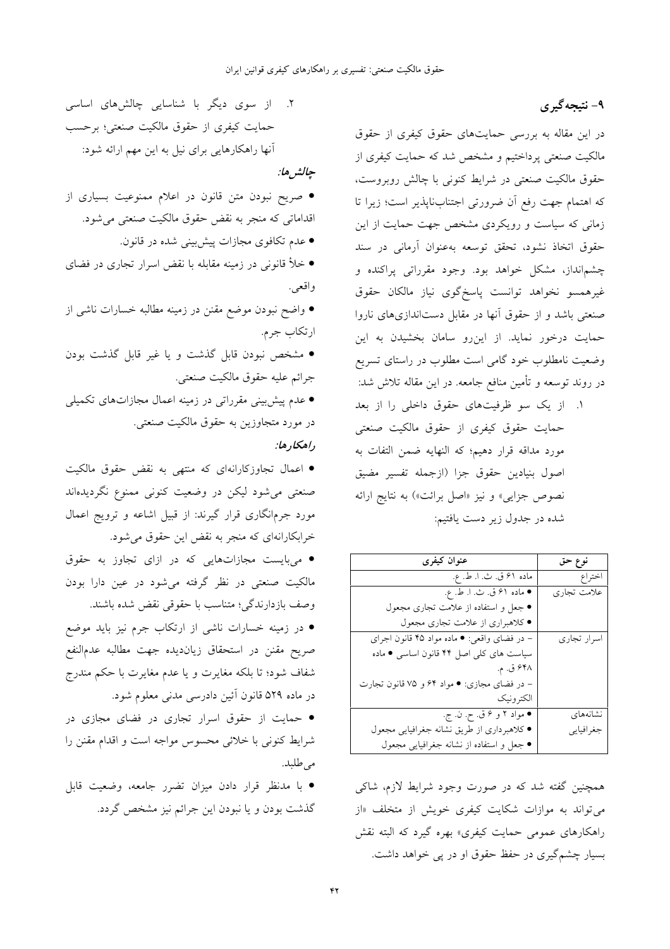#### ۹- نتیجهگیری

در این مقاله به بررسی حمایتهای حقوق کیفری از حقوق مالکیت صنعتی پرداختیم و مشخص شد که حمایت کیفری از حقوق مالکیت صنعتی در شرایط کنونی با چالش روبروست، كه اهتمام جهت رفع آن ضرورتي اجتنابناپذير است؛ زيرا تا زمانی که سیاست و رویکردی مشخص جهت حمایت از این حقوق اتخاذ نشود، تحقق توسعه بهعنوان آرمانی در سند چشمانداز، مشکل خواهد بود. وجود مقرراتی پراکنده و غیرهمسو نخواهد توانست پاسخگوی نیاز مالکان حقوق صنعتی باشد و از حقوق آنها در مقابل دستاندازیهای ناروا حمایت درخور نماید. از این رو سامان بخشیدن به این وضعیت نامطلوب خود گامی است مطلوب در راستای تسریع در روند توسعه و تأمین منافع جامعه. در این مقاله تلاش شد:

١. از یک سو ظرفیتهای حقوق داخلی را از بعد حمایت حقوق کیفری از حقوق مالکیت صنعتی مورد مداقه قرار دهیم؛ که النهایه ضمن التفات به اصول بنيادين حقوق جزا (ازجمله تفسير مضيق نصوص جزایی» و نیز «اصل برائت») به نتایج ارائه شده در جدول زیر دست یافتیم:

| عنوان کیفری                                 | نوع حق      |
|---------------------------------------------|-------------|
|                                             |             |
| ماده ۶۱ ق. ث. ا. ط. ع.                      | اختراع      |
| ● ماده ۶۱ ق. ث. ا. ط. ع.                    | علامت تجاري |
| • جعل و استفاده از علامت تجارى مجعول        |             |
| ● كلاهبراري از علامت تجاري مجعول            |             |
| - در فضای واقعی: ● ماده مواد ۴۵ قانون اجرای | اسرار تجارى |
| سیاست های کلی اصل ۴۴ قانون اساسی • ماده     |             |
| ۴۸\$ ق. م.                                  |             |
| – در فضای مجازی: ● مواد ۶۴ و ۷۵ قانون تجارت |             |
| الكترونيك                                   |             |
| • مواد ۲ و ۶ ق. ح. ن. ج.                    | نشانههای    |
| ● كلاهبرداري از طريق نشانه جغرافيايي مجعول  | جغرافيايي   |
| • جعل و استفاده از نشانه جغرافیایی مجعول    |             |

همچنین گفته شد که در صورت وجود شرایط لازم، شاکی می تواند به موازات شکایت کیفری خویش از متخلف «از راهکارهای عمومی حمایت کیفری» بهره گیرد که البته نقش بسیار چشم گیری در حفظ حقوق او در پی خواهد داشت.

۲. از سوی دیگر با شناسایی چالشهای اساسی حمايت كيفرى از حقوق مالكيت صنعتى؛ برحسب آنها راهکارهایی برای نیل به این مهم ارائه شود:

جالشر ها:

• صریح نبودن متن قانون در اعلام ممنوعیت بسیاری از اقداماتی که منجر به نقض حقوق مالکیت صنعتی میشود. • عدم تکافوی مجازات پیش بینی شده در قانون.

• خلأ قانونی در زمینه مقابله با نقض اسرار تجاری در فضای

واقعي.

● واضح نبودن موضع مقنن در زمینه مطالبه خسارات ناشی از ارتكاب جرم.

• مشخص نبودن قابل گذشت و یا غیر قابل گذشت بودن جرائم عليه حقوق مالكيت صنعتى.

● عدم پیش بینی مقرراتی در زمینه اعمال مجازاتهای تکمیلی در مورد متجاوزین به حقوق مالکیت صنعتی. داهكاد ها:

• اعمال تجاوزکارانهای که منتهی به نقض حقوق مالکیت صنعتی میشود لیکن در وضعیت کنونی ممنوع نگردیدهاند مورد جرمانگاری قرار گیرند: از قبیل اشاعه و ترویج اعمال خرابکارانهای که منجر به نقض این حقوق می شود.

• میبایست مجازاتهایی که در ازای تجاوز به حقوق مالکیت صنعتی در نظر گرفته میشود در عین دارا بودن وصف بازدارندگی؛ متناسب با حقوقی نقض شده باشند.

• در زمینه خسارات ناشی از ارتکاب جرم نیز باید موضع صريح مقنن در استحقاق زيانديده جهت مطالبه عدمالنفع شفاف شود؛ تا بلکه مغايرت و يا عدم مغايرت با حکم مندرج در ماده ۵۲۹ قانون آئین دادرسی مدنی معلوم شود.

• حمایت از حقوق اسرار تجاری در فضای مجازی در شرايط كنوني با خلائي محسوس مواجه است و اقدام مقنن را مى طلبد.

• با مدنظر قرار دادن میزان تضرر جامعه، وضعیت قابل گذشت بودن و یا نبودن این جرائم نیز مشخص گردد.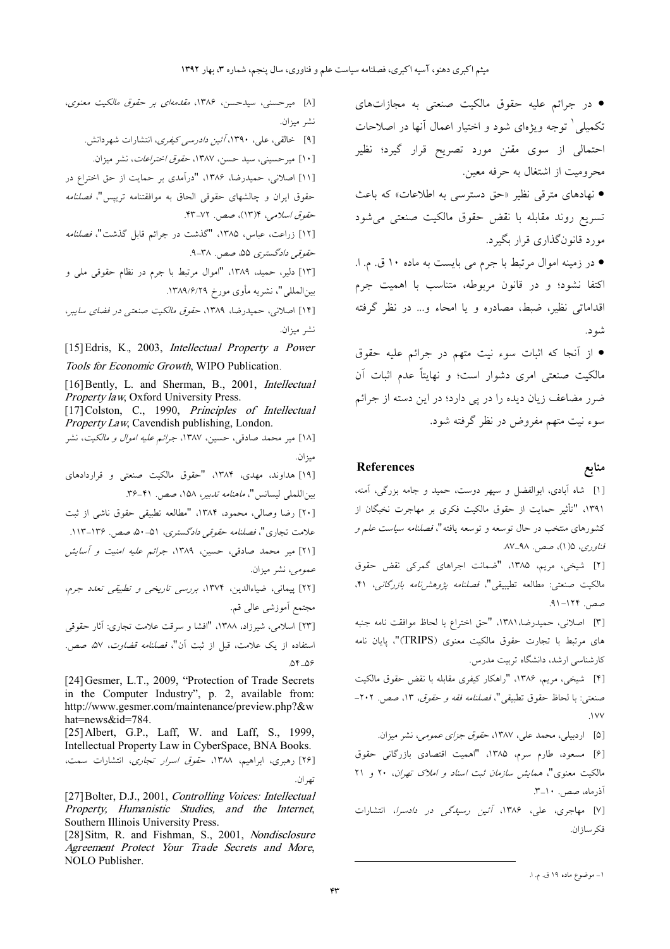• در جرائم عليه حقوق مالكيت صنعتى به مجازاتهاى تکمیلی ْ توجه ویژهای شود و اختیار اعمال اّنها در اصلاحات احتمالی از سوی مقنن مورد تصریح قرار گیرد؛ نظیر محروميت از اشتغال به حرفه معين. • نهادهای مترقی نظیر «حق دسترسی به اطلاعات» که باعث تسریع روند مقابله با نقض حقوق مالکیت صنعتی می شود مورد قانونگذاري قرار بگيرد. • در زمینه اموال مرتبط با جرم می بایست به ماده ۱۰ ق. م. ا. اكتفا نشود؛ و در قانون مربوطه، متناسب با اهميت جرم اقداماتی نظیر، ضبط، مصادره و یا امحاء و... در نظر گرفته شو د. • از آنجا که اثبات سوء نیت متهم در جرائم علیه حقوق مالکیت صنعتی امری دشوار است؛ و نهایتاً عدم اثبات آن

ضرر مضاعف زيان ديده را در يي دارد؛ در اين دسته از جرائم سوء نيت متهم مفروض در نظر گرفته شود.

#### **References**

#### منابع

[۱] شاه آبادی، ابوالفضل و سپهر دوست، حمید و جامه بزرگی، آمنه، ۱۳۹۱، "تأثیر حمایت از حقوق مالکیت فکری بر مهاجرت نخبگان از کشورهای منتخب در حال توسعه و توسعه یافته"، *فصلنامه سیاست علم و*  $AV$ وري، ۱۵ (۱)، صص. ۹۸–۸۷.

[۲] شیخی، مریم، ۱۳۸۵، "ضمانت اجراهای گمرکی نقض حقوق مالكيت صنعتي: مطالعه تطيبيقي"، فص*لنامه پژوهشرنامه بازرگاني*، ۴۱، صص. ۱۲۴-۹۱.

[٣] اصلاني، حميدرضا،١٣٨١، "حق اختراع با لحاظ موافقت نامه جنبه های مرتبط با تجارت حقوق مالکیت معنوی (TRIPS)"، پایان نامه کارشناسی ارشد، دانشگاه تربیت مدرس.

[۴] شيخي، مريم، ١٣٨۶، "راهكار كيفري مقابله با نقض حقوق مالكيت صنعتي: با لحاظ حقوق تطبيقي"، *فصلنامه فقه و حقوق*، ١٣، صص. ٢٠٢- $.1VV$ 

[۵] اردبیلی، محمد علی، ۱۳۸۷، ح*قوقِ جزای عمومی،* نشر میزان.

[۶] مسعود، طارم سرم، ۱۳۸۵، "اهمیت اقتصادی بازرگانی حقوق مالکیت معنوی"، *همایش سازمان ثبت اسناد و املاک تهران*، ۲۰ و ۲۱ آذرماه، صص. ١٠–٣.

[۷] مهاجری، علی، ۱۳۸۶، *آئین رسیدگی در دادسرا*، انتشارات فكرسازان.

[٨] میر حسنی، سیدحسن، ۱۳۸۶، *مقدمهای بر حقوق مالکیت معنوی*، نشر ميزان. [۹] خالقی، علی، ۱۳۹۰*، آئین دادرسی کیفری*، انتشارات شهردانش. [۱۰] میر حسینی، سید حسن، ۱۳۸۷، ح*قوق اختراعات*، نشر میزان. [۱۱] اصلانی، حمیدرضا، ۱۳۸۶، "درآمدی بر حمایت از حق اختراع در حقوق ايران و چالشهاى حقوقى الحاق به موافقتنامه تريپس"، *فصلنامه* حقوق اسلامي، ١٣)٢، صص. ٧٢-۴٣. [۱۲] زراعت، عباس، ۱۳۸۵، "گذشت در جرائم قابل گذشت"، *فصلنامه* حقوقی دادگستری ۵۵، صص. ۳۸-۹. [١٣] دلير، حميد، ١٣٨٩، "اموال مرتبط با جرم در نظام حقوقي ملي و بين|المللي"، نشريه مأوى مورخ ١٣٨٩/۶/٢٩. [۱۴] اصلانی، حمیدرضا، ۱۳۸۹، ح*قوق مالکیت صنعتی در فضای سایب*ر، نشر ميزان. [15] Edris, K., 2003, Intellectual Property a Power Tools for Economic Growth, WIPO Publication

[16] Bently, L. and Sherman, B., 2001, Intellectual Property law, Oxford University Press.

[17] Colston, C., 1990, Principles of Intellectual Property Law, Cavendish publishing, London.

[۱۸] میر محمد صادقی، حسین، ۱۳۸۷، جرائم علیه ا*موال و مالکیت*، نشر ميزان.

[۱۹] هداوند، مهدي، ۱۳۸۴، "حقوق مالكيت صنعتي و قراردادهاي بيناللملي ليسانس"، *ماهنامه تدبير*، ١۵٨، صص. ۴۱-۳۶. [٢٠] رضا وصالي، محمود، ١٣٨۴، "مطالعه تطبيقي حقوق ناشي از ثبت علامت تجاري"، *فصلنامه حقوقي دادگستري*، ۵۱–۵۰ صص. ۱۳۶–۱۱۳. [۲۱] میر محمد صادقی، حسین، ۱۳۸۹، جرائم علیه امنیت و آسایش عم*ومی*، نشر میزان. [٢٢] پیمانی، ضیاءالدین، ١٣٧۴، بررسی تاریخی و تطبیقی تعدد جرم، مجتمع اَموزشی عالی قم. [٢٣] اسلامي، شيرزاد، ١٣٨٨، "افشا و سرقت علامت تجاري: آثار حقوقي استفاده از یک علامت، قبل از ثبت آن"، *فصلنامه قضاوت*، ۵۷، صص.  $04 - 09$ [24] Gesmer, L.T., 2009, "Protection of Trade Secrets in the Computer Industry", p. 2, available from:

http://www.gesmer.com/maintenance/preview.php?&w hat=news&id=784. [25] Albert, G.P., Laff, W. and Laff, S., 1999,

Intellectual Property Law in CyberSpace, BNA Books. [۲۶] رهبری، ابراهیم، ۱۳۸۸، ح*قوق اسرار تجاری*، انتشارات سمت، تهر ان.

[27] Bolter, D.J., 2001, Controlling Voices: Intellectual Property, Humanistic Studies, and the Internet, Southern Illinois University Press.

[28] Sitm, R. and Fishman, S., 2001, Nondisclosure Agreement Protect Your Trade Secrets and More, NOLO Publisher.

۱ ــ موضوع ماده ۱۹ ق. م. ا.